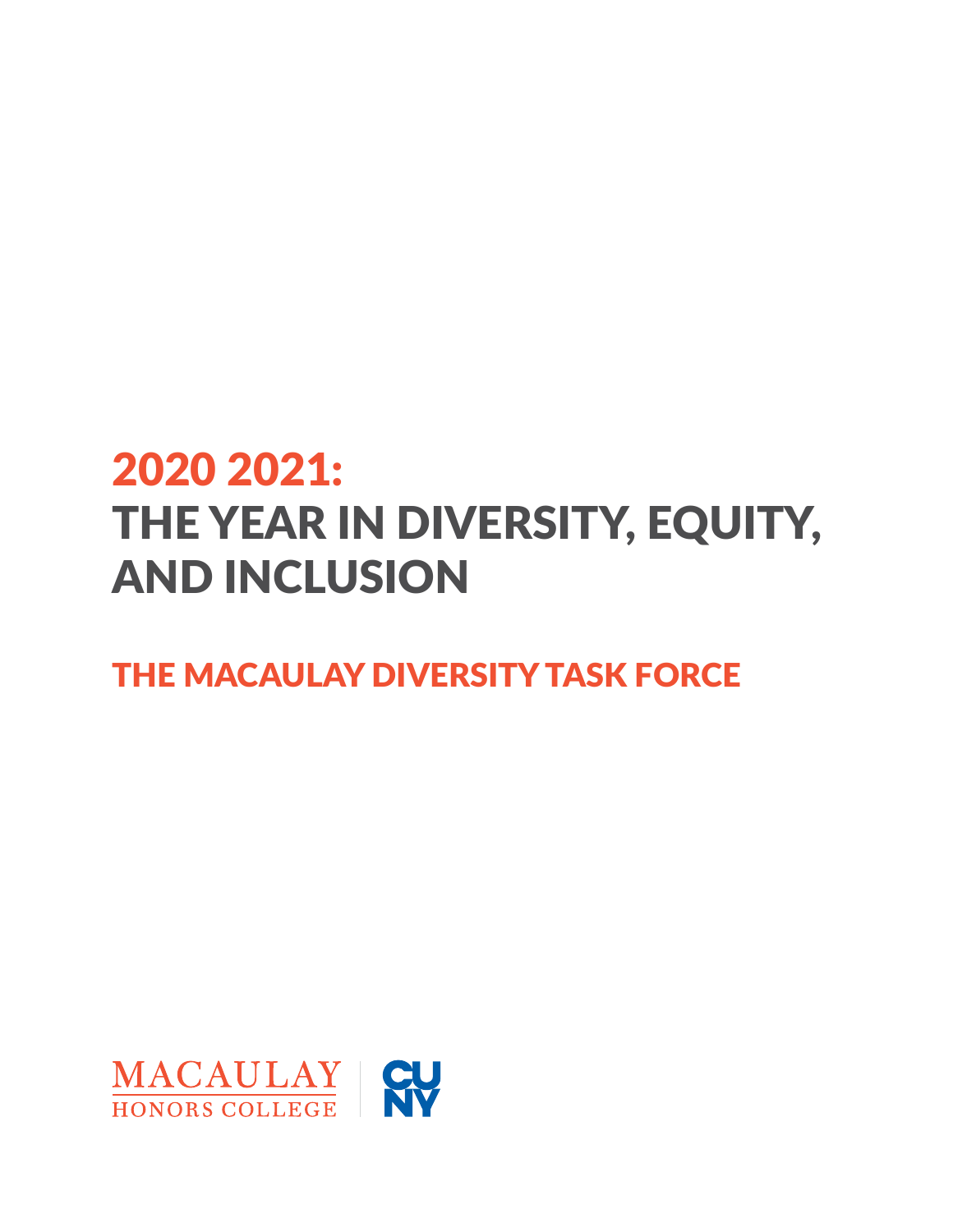## 2020 2021: THE YEAR IN DIVERSITY, EQUITY, AND INCLUSION

### THE MACAULAY DIVERSITY TASK FORCE

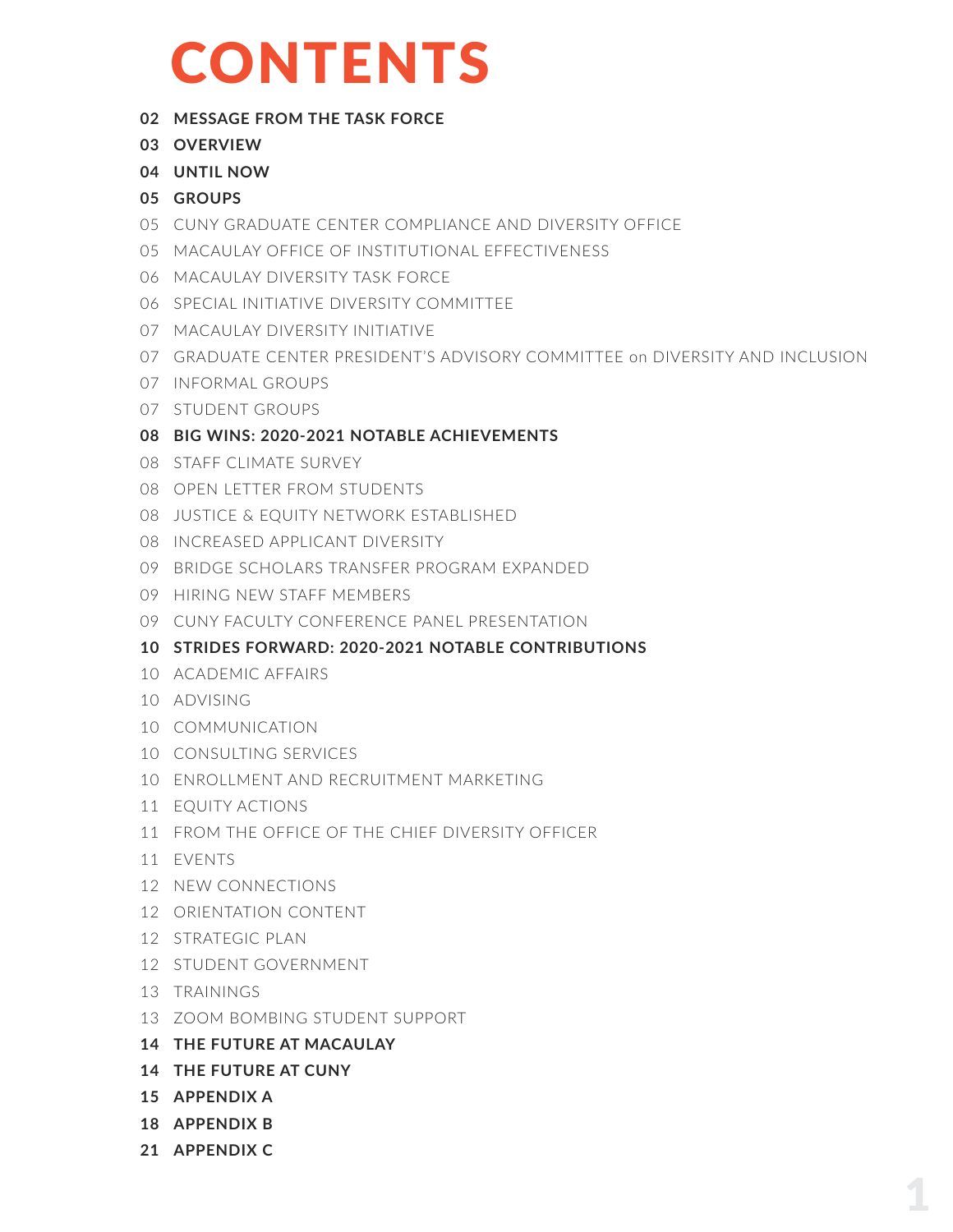# CONTENTS

#### **[MESSAGE FROM THE TASK FORCE](#page-2-0)**

- **[OVERVIEW](#page-3-0)**
- **[UNTIL NOW](#page-4-0)**
- **[GROUPS](#page-5-0)**
- [CUNY GRADUATE CENTER COMPLIANCE AND DIVERSITY OFFICE](#page-5-0)
- [MACAULAY OFFICE OF INSTITUTIONAL EFFECTIVENESS](#page-5-0)
- [MACAULAY DIVERSITY TASK FORCE](#page-6-0)
- [SPECIAL INITIATIVE DIVERSITY COMMITTEE](#page-6-0)
- [MACAULAY DIVERSITY INITIATIVE](#page-7-0)
- [GRADUATE CENTER PRESIDENT'S ADVISORY COMMITTEE on DIVERSITY AND INCLUSION](#page-7-0)
- [INFORMAL GROUPS](#page-7-0)
- [STUDENT GROUPS](#page-7-0)
- **[BIG WINS: 2020-2021 NOTABLE ACHIEVEMENTS](#page-8-0)**
- [STAFF CLIMATE SURVEY](#page-8-0)
- [OPEN LETTER FROM STUDENTS](#page-8-0)
- [JUSTICE & EQUITY NETWORK ESTABLISHED](#page-8-0)
- [INCREASED APPLICANT DIVERSITY](#page-8-0)
- [BRIDGE SCHOLARS TRANSFER PROGRAM EXPANDED](#page-9-0)
- 09 [HIRING NEW STAFF MEMBERS](#page-9-0)
- [CUNY FACULTY CONFERENCE PANEL PRESENTATION](#page-9-0)
- **[STRIDES FORWARD: 2020-2021 NOTABLE CONTRIBUTIONS](#page-10-0)**
- [ACADEMIC AFFAIRS](#page-10-0)
- [ADVISING](#page-10-0)
- [COMMUNICATION](#page-10-0)
- [CONSULTING SERVICES](#page-10-0)
- [ENROLLMENT AND RECRUITMENT MARKETING](#page-10-0)
- [EQUITY ACTIONS](#page-11-0)
- [FROM THE OFFICE OF THE CHIEF DIVERSITY OFFICER](#page-11-0)
- [EVENTS](#page-11-0)
- [NEW CONNECTIONS](#page-12-0)
- [ORIENTATION CONTENT](#page-12-0)
- [STRATEGIC PLAN](#page-12-0)
- [STUDENT GOVERNMENT](#page-12-0)
- [TRAININGS](#page-13-0)
- [ZOOM BOMBING STUDENT SUPPORT](#page-13-0)
- **[THE FUTURE AT MACAULAY](#page-14-0)**
- **[THE FUTURE AT CUNY](#page-14-0)**
- **[APPENDIX A](#page-15-0)**
- **[APPENDIX B](#page-18-0)**
- **[APPENDIX C](#page-21-0)**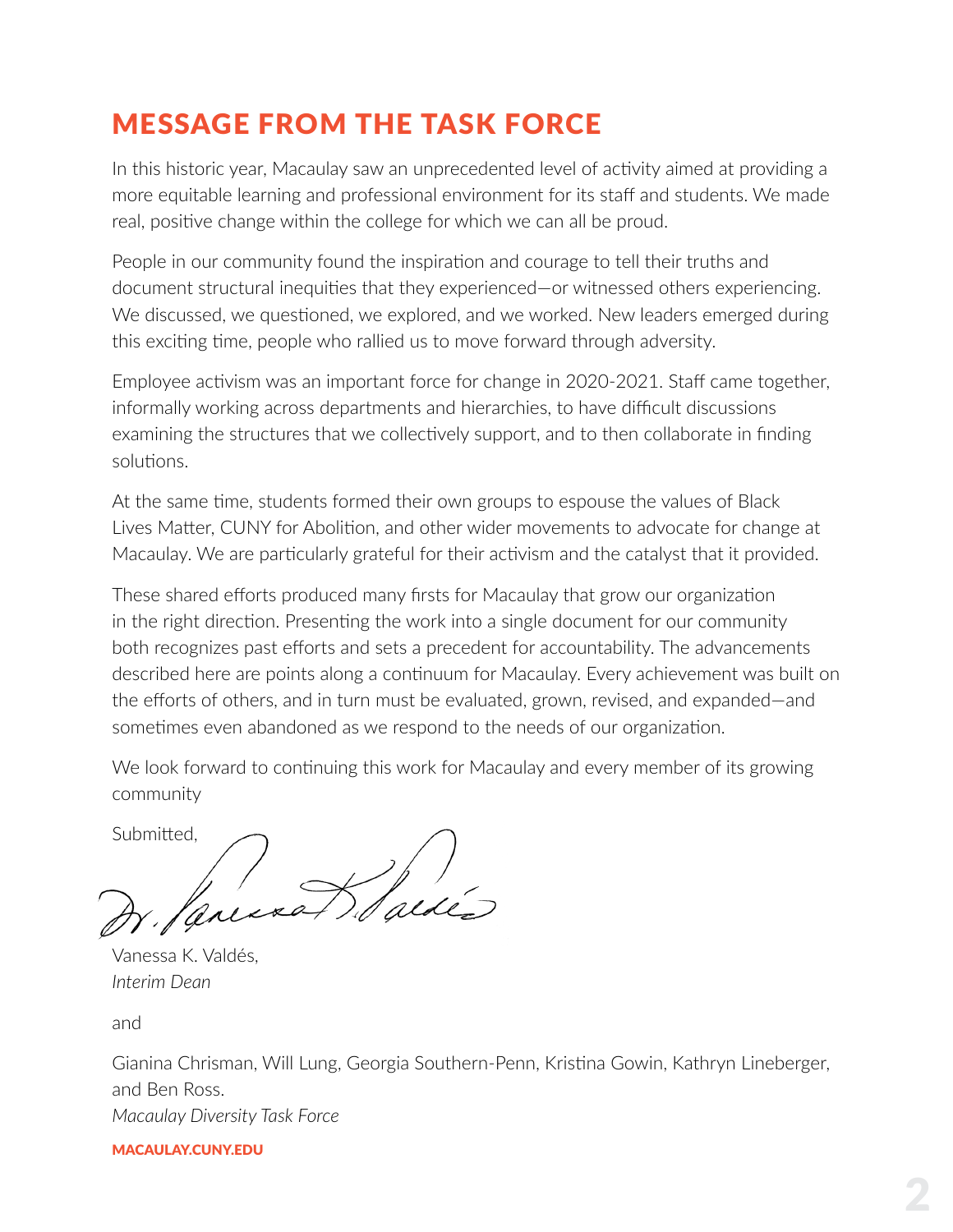### <span id="page-2-0"></span>MESSAGE FROM THE TASK FORCE

In this historic year, Macaulay saw an unprecedented level of activity aimed at providing a more equitable learning and professional environment for its staff and students. We made real, positive change within the college for which we can all be proud.

People in our community found the inspiration and courage to tell their truths and document structural inequities that they experienced—or witnessed others experiencing. We discussed, we questioned, we explored, and we worked. New leaders emerged during this exciting time, people who rallied us to move forward through adversity.

Employee activism was an important force for change in 2020-2021. Staff came together, informally working across departments and hierarchies, to have difficult discussions examining the structures that we collectively support, and to then collaborate in finding solutions.

At the same time, students formed their own groups to espouse the values of Black Lives Matter, CUNY for Abolition, and other wider movements to advocate for change at Macaulay. We are particularly grateful for their activism and the catalyst that it provided.

These shared efforts produced many firsts for Macaulay that grow our organization in the right direction. Presenting the work into a single document for our community both recognizes past efforts and sets a precedent for accountability. The advancements described here are points along a continuum for Macaulay. Every achievement was built on the efforts of others, and in turn must be evaluated, grown, revised, and expanded—and sometimes even abandoned as we respond to the needs of our organization.

We look forward to continuing this work for Macaulay and every member of its growing community

Submitted,

Vanessa K. Valdés, *Interim Dean*

and

Gianina Chrisman, Will Lung, Georgia Southern-Penn, Kristina Gowin, Kathryn Lineberger, and Ben Ross. *Macaulay Diversity Task Force*

#### [MACAULAY.CUNY.EDU](https://macaulay.cuny.edu)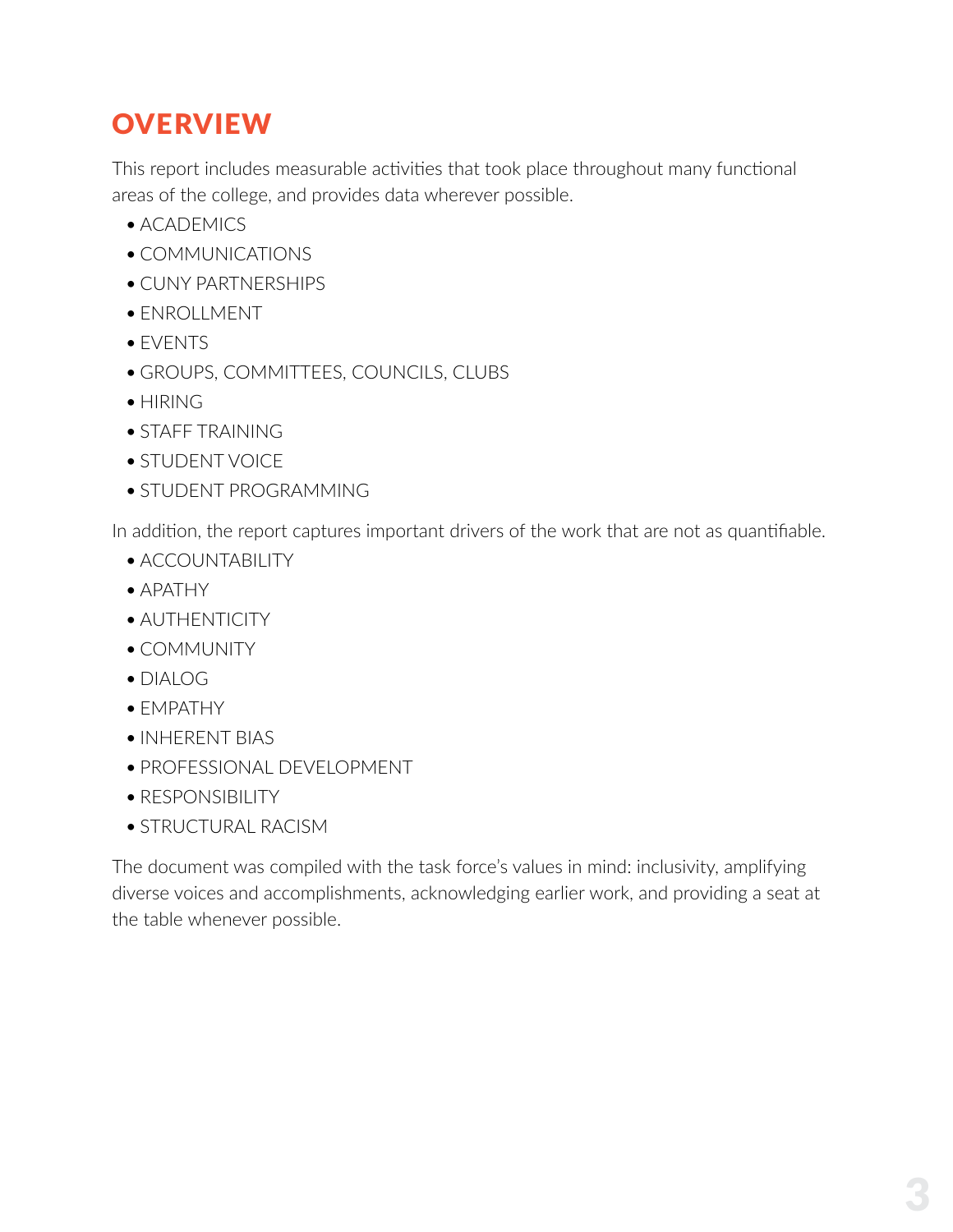### <span id="page-3-0"></span>**OVERVIEW**

This report includes measurable activities that took place throughout many functional areas of the college, and provides data wherever possible.

- ACADEMICS
- COMMUNICATIONS
- CUNY PARTNERSHIPS
- ENROLLMENT
- EVENTS
- GROUPS, COMMITTEES, COUNCILS, CLUBS
- HIRING
- STAFF TRAINING
- STUDENT VOICE
- STUDENT PROGRAMMING

In addition, the report captures important drivers of the work that are not as quantifiable.

- ACCOUNTABILITY
- APATHY
- AUTHENTICITY
- COMMUNITY
- $\bullet$  DIALOG
- EMPATHY
- INHERENT BIAS
- PROFESSIONAL DEVELOPMENT
- RESPONSIBILITY
- STRUCTURAL RACISM

The document was compiled with the task force's values in mind: inclusivity, amplifying diverse voices and accomplishments, acknowledging earlier work, and providing a seat at the table whenever possible.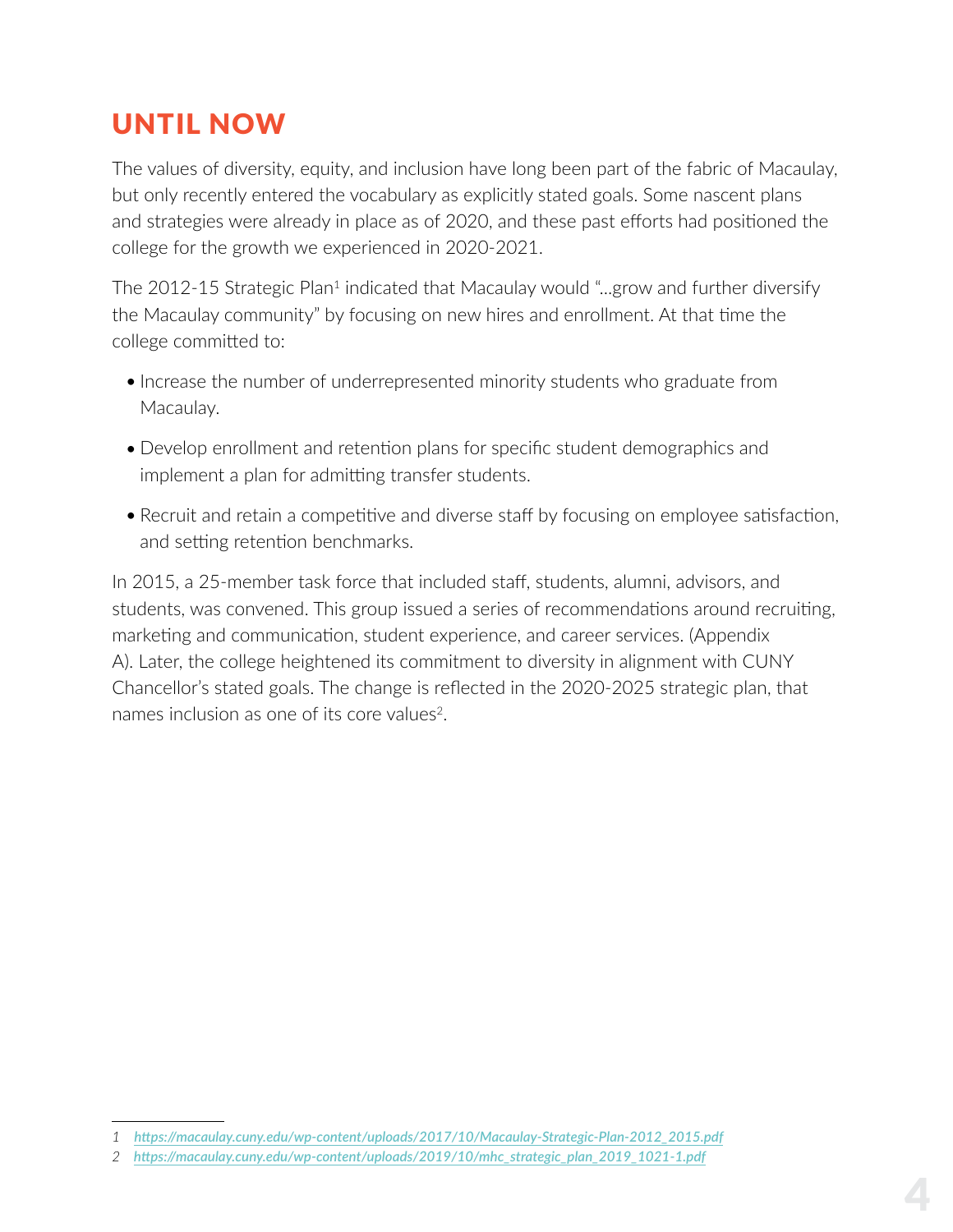### <span id="page-4-0"></span>UNTIL NOW

The values of diversity, equity, and inclusion have long been part of the fabric of Macaulay, but only recently entered the vocabulary as explicitly stated goals. Some nascent plans and strategies were already in place as of 2020, and these past efforts had positioned the college for the growth we experienced in 2020-2021.

The 2012-15 Strategic Plan<sup>1</sup> indicated that Macaulay would "...grow and further diversify the Macaulay community" by focusing on new hires and enrollment. At that time the college committed to:

- Increase the number of underrepresented minority students who graduate from Macaulay.
- Develop enrollment and retention plans for specific student demographics and implement a plan for admitting transfer students.
- Recruit and retain a competitive and diverse staff by focusing on employee satisfaction, and setting retention benchmarks.

In 2015, a 25-member task force that included staff, students, alumni, advisors, and students, was convened. This group issued a series of recommendations around recruiting, marketing and communication, student experience, and career services. [\(Appendix](#page-15-0)  [A\).](#page-15-0) Later, the college heightened its commitment to diversity in alignment with CUNY Chancellor's stated goals. The change is reflected in the 2020-2025 strategic plan, that names inclusion as one of its core values<sup>2</sup>.

*<sup>1</sup> [https://macaulay.cuny.edu/wp-content/uploads/2017/10/Macaulay-Strategic-Plan-2012\\_2015.pdf](https://macaulay.cuny.edu/wp-content/uploads/2017/10/Macaulay-Strategic-Plan-2012_2015.pdf)*

*<sup>2</sup> [https://macaulay.cuny.edu/wp-content/uploads/2019/10/mhc\\_strategic\\_plan\\_2019\\_1021-1.pdf](https://macaulay.cuny.edu/wp-content/uploads/2019/10/mhc_strategic_plan_2019_1021-1.pdf)*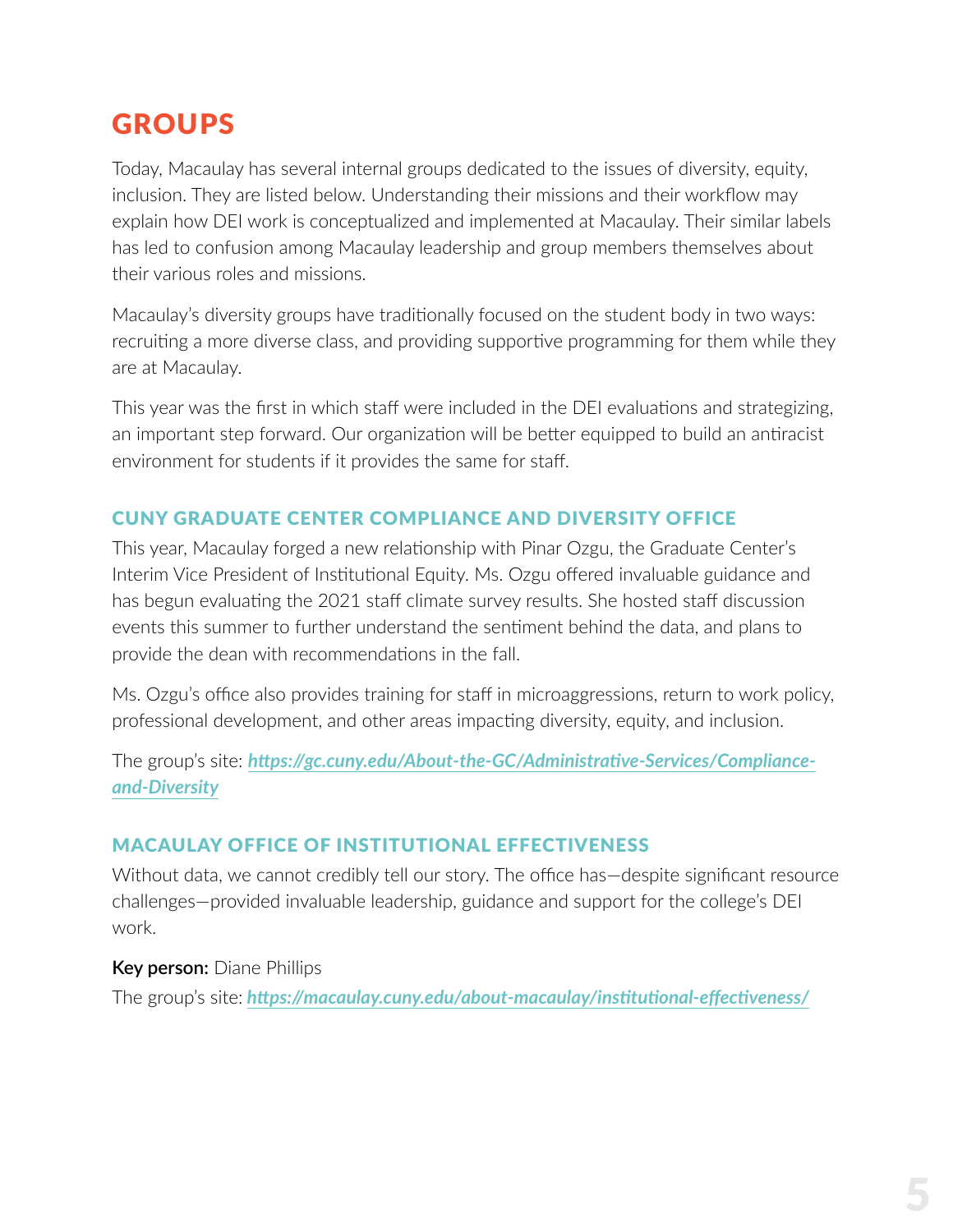### <span id="page-5-0"></span>GROUPS

Today, Macaulay has several internal groups dedicated to the issues of diversity, equity, inclusion. They are listed below. Understanding their missions and their workflow may explain how DEI work is conceptualized and implemented at Macaulay. Their similar labels has led to confusion among Macaulay leadership and group members themselves about their various roles and missions.

Macaulay's diversity groups have traditionally focused on the student body in two ways: recruiting a more diverse class, and providing supportive programming for them while they are at Macaulay.

This year was the first in which staff were included in the DEI evaluations and strategizing, an important step forward. Our organization will be better equipped to build an antiracist environment for students if it provides the same for staff.

#### CUNY GRADUATE CENTER COMPLIANCE AND DIVERSITY OFFICE

This year, Macaulay forged a new relationship with Pinar Ozgu, the Graduate Center's Interim Vice President of Institutional Equity. Ms. Ozgu offered invaluable guidance and has begun evaluating the 2021 staff climate survey results. She hosted staff discussion events this summer to further understand the sentiment behind the data, and plans to provide the dean with recommendations in the fall.

Ms. Ozgu's office also provides training for staff in microaggressions, return to work policy, professional development, and other areas impacting diversity, equity, and inclusion.

The group's site: *[https://gc.cuny.edu/About-the-GC/Administrative-Services/Compliance](https://gc.cuny.edu/About-the-GC/Administrative-Services/Compliance-and-Diversity )[and-Diversity](https://gc.cuny.edu/About-the-GC/Administrative-Services/Compliance-and-Diversity )*

#### MACAULAY OFFICE OF INSTITUTIONAL EFFECTIVENESS

Without data, we cannot credibly tell our story. The office has-despite significant resource challenges—provided invaluable leadership, guidance and support for the college's DEI work.

#### **Key person:** Diane Phillips

The group's site: *<https://macaulay.cuny.edu/about-macaulay/institutional-effectiveness/>*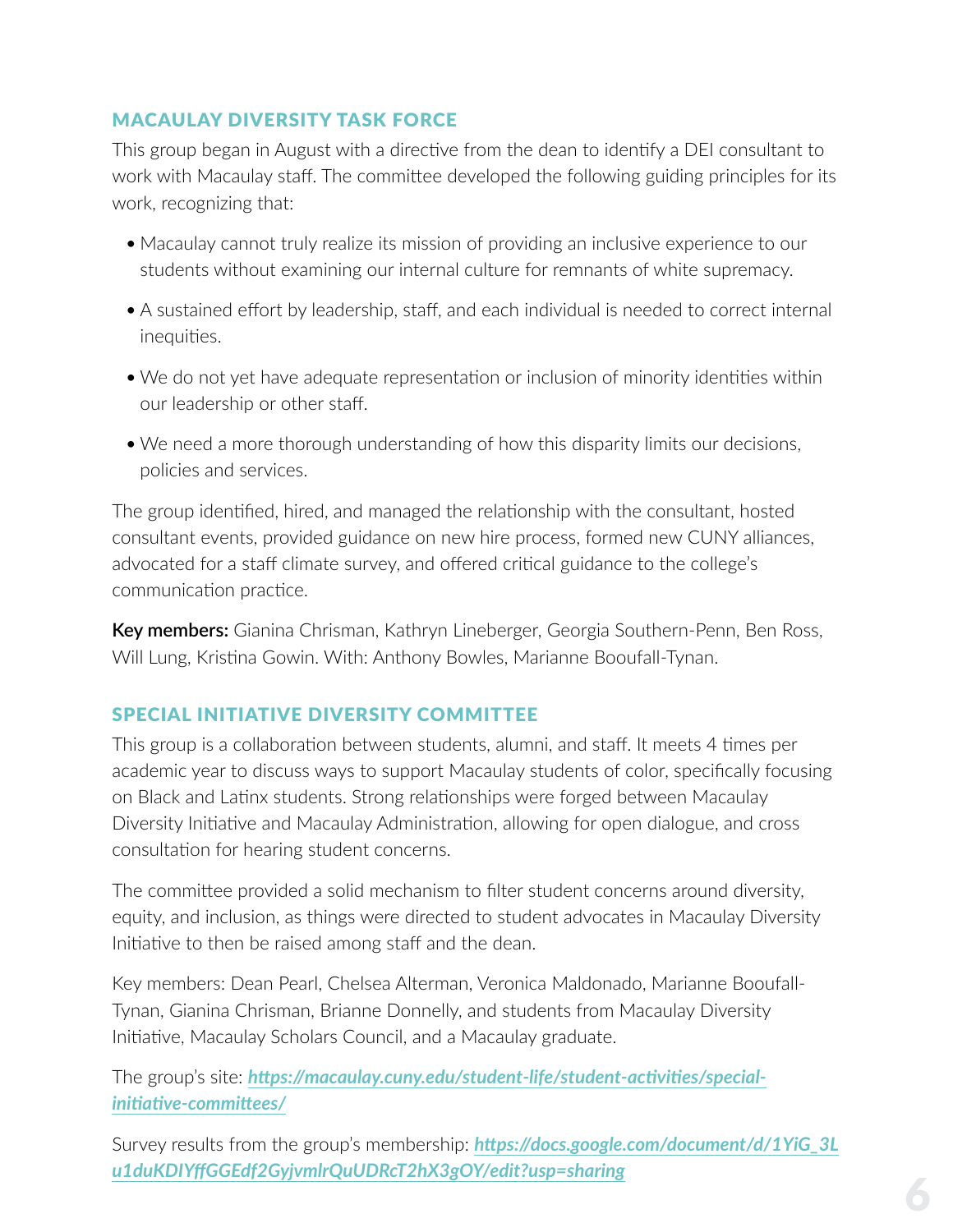#### <span id="page-6-0"></span>MACAULAY DIVERSITY TASK FORCE

This group began in August with a directive from the dean to identify a DEI consultant to work with Macaulay staff. The committee developed the following guiding principles for its work, recognizing that:

- Macaulay cannot truly realize its mission of providing an inclusive experience to our students without examining our internal culture for remnants of white supremacy.
- A sustained effort by leadership, staff, and each individual is needed to correct internal inequities.
- We do not yet have adequate representation or inclusion of minority identities within our leadership or other staff.
- We need a more thorough understanding of how this disparity limits our decisions, policies and services.

The group identified, hired, and managed the relationship with the consultant, hosted consultant events, provided guidance on new hire process, formed new CUNY alliances, advocated for a staff climate survey, and offered critical guidance to the college's communication practice.

**Key members:** Gianina Chrisman, Kathryn Lineberger, Georgia Southern-Penn, Ben Ross, Will Lung, Kristina Gowin. With: Anthony Bowles, Marianne Booufall-Tynan.

#### SPECIAL INITIATIVE DIVERSITY COMMITTEE

This group is a collaboration between students, alumni, and staff. It meets 4 times per academic year to discuss ways to support Macaulay students of color, specifically focusing on Black and Latinx students. Strong relationships were forged between Macaulay Diversity Initiative and Macaulay Administration, allowing for open dialogue, and cross consultation for hearing student concerns.

The committee provided a solid mechanism to filter student concerns around diversity, equity, and inclusion, as things were directed to student advocates in Macaulay Diversity Initiative to then be raised among staff and the dean.

Key members: Dean Pearl, Chelsea Alterman, Veronica Maldonado, Marianne Booufall-Tynan, Gianina Chrisman, Brianne Donnelly, and students from Macaulay Diversity Initiative, Macaulay Scholars Council, and a Macaulay graduate.

The group's site: *[https://macaulay.cuny.edu/student-life/student-activities/special](https://macaulay.cuny.edu/student-life/student-activities/special-initiative-committees/)[initiative-committees/](https://macaulay.cuny.edu/student-life/student-activities/special-initiative-committees/)*

Survey results from the group's membership: *[https://docs.google.com/document/d/1YiG\\_3L](https://docs.google.com/document/d/1YiG_3Lu1duKDIYffGGEdf2GyjvmlrQuUDRcT2hX3gOY/edit?usp=sharing) [u1duKDIYffGGEdf2GyjvmlrQuUDRcT2hX3gOY/edit?usp=sharing](https://docs.google.com/document/d/1YiG_3Lu1duKDIYffGGEdf2GyjvmlrQuUDRcT2hX3gOY/edit?usp=sharing)*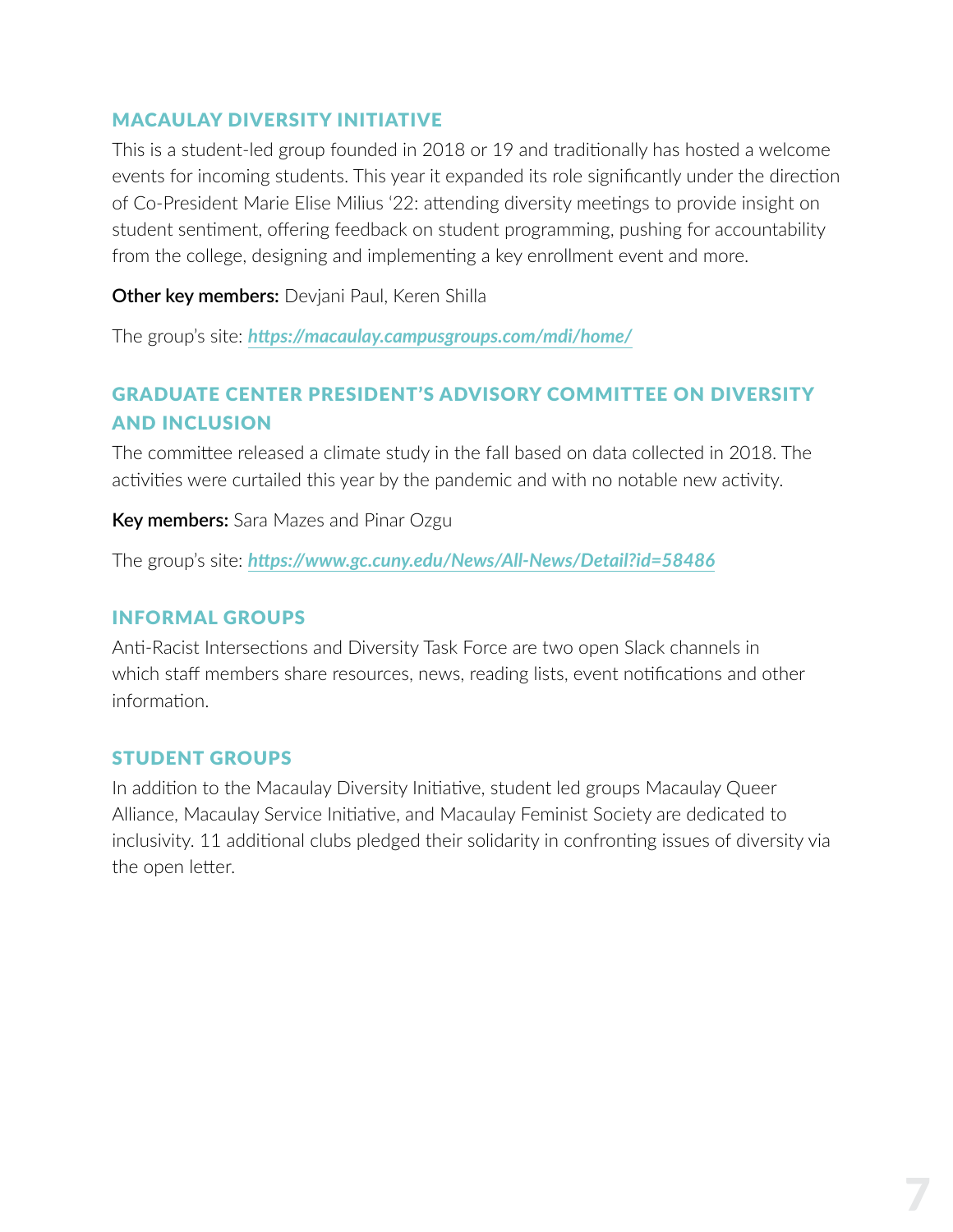#### <span id="page-7-0"></span>MACAULAY DIVERSITY INITIATIVE

This is a student-led group founded in 2018 or 19 and traditionally has hosted a welcome events for incoming students. This year it expanded its role significantly under the direction of Co-President Marie Elise Milius '22: attending diversity meetings to provide insight on student sentiment, offering feedback on student programming, pushing for accountability from the college, designing and implementing a key enrollment event and more.

#### **Other key members:** Devjani Paul, Keren Shilla

The group's site: *<https://macaulay.campusgroups.com/mdi/home/>*

#### GRADUATE CENTER PRESIDENT'S ADVISORY COMMITTEE ON DIVERSITY AND INCLUSION

The committee released a climate study in the fall based on data collected in 2018. The activities were curtailed this year by the pandemic and with no notable new activity.

**Key members:** Sara Mazes and Pinar Ozgu

The group's site: *<https://www.gc.cuny.edu/News/All-News/Detail?id=58486>*

#### INFORMAL GROUPS

Anti-Racist Intersections and Diversity Task Force are two open Slack channels in which staff members share resources, news, reading lists, event notifications and other information.

#### STUDENT GROUPS

In addition to the Macaulay Diversity Initiative, student led groups Macaulay Queer Alliance, Macaulay Service Initiative, and Macaulay Feminist Society are dedicated to inclusivity. 11 additional clubs pledged their solidarity in confronting issues of diversity via the open letter.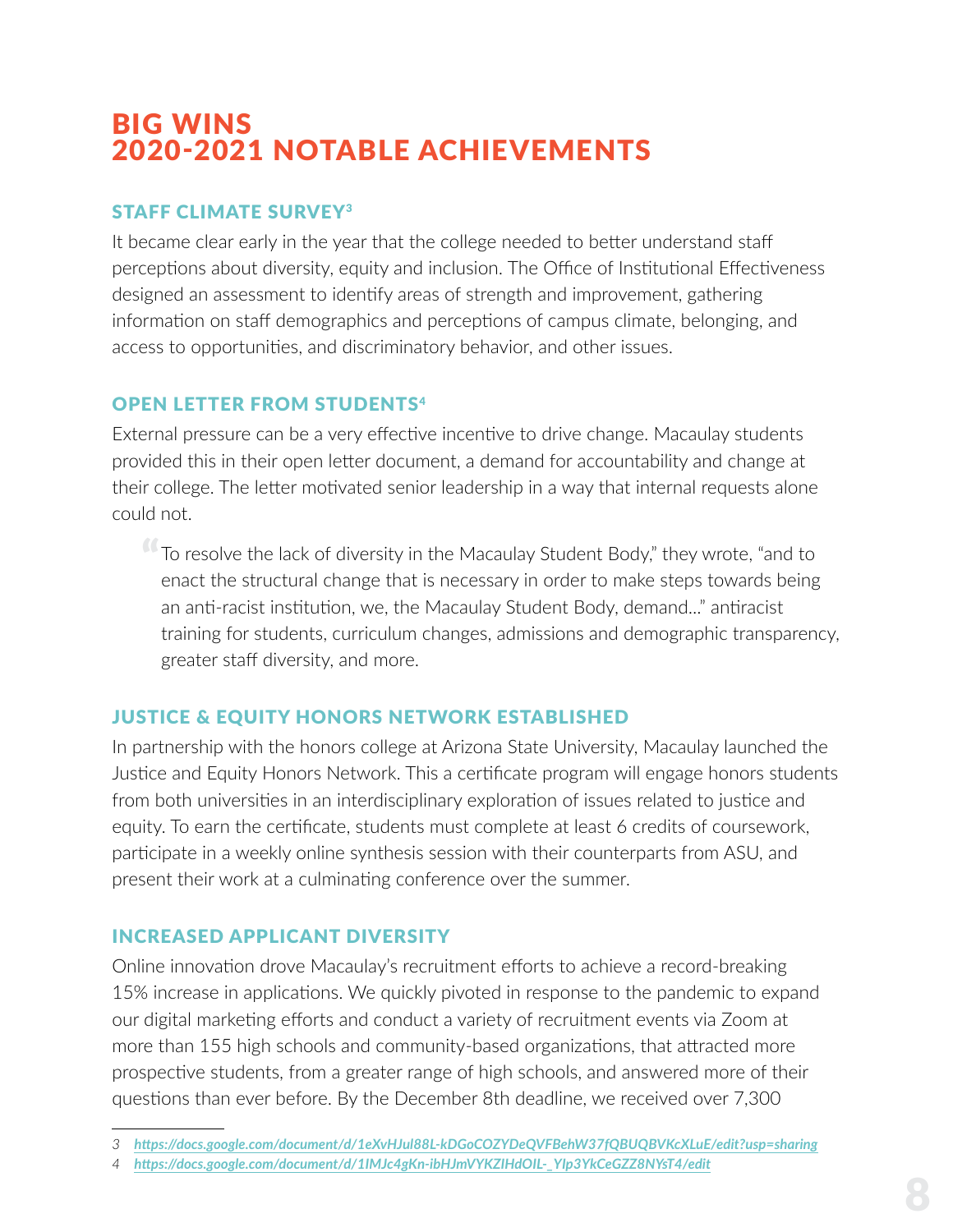### <span id="page-8-0"></span>BIG WINS 2020-2021 NOTABLE ACHIEVEMENTS

#### STAFF CLIMATE SURVEY3

It became clear early in the year that the college needed to better understand staff perceptions about diversity, equity and inclusion. The Office of Institutional Effectiveness designed an assessment to identify areas of strength and improvement, gathering information on staff demographics and perceptions of campus climate, belonging, and access to opportunities, and discriminatory behavior, and other issues.

#### OPEN LETTER FROM STUDENTS4

External pressure can be a very effective incentive to drive change. Macaulay students provided this in their open letter document, a demand for accountability and change at their college. The letter motivated senior leadership in a way that internal requests alone could not.

To resolve the lack of diversity in the Macaulay Student Body," they wrote, "and to<br>enact the structural change that is necessary in order to make steps towards being enact the structural change that is necessary in order to make steps towards being an anti-racist institution, we, the Macaulay Student Body, demand..." antiracist training for students, curriculum changes, admissions and demographic transparency, greater staff diversity, and more.

#### JUSTICE & EQUITY HONORS NETWORK ESTABLISHED

In partnership with the honors college at Arizona State University, Macaulay launched the Justice and Equity Honors Network. This a certificate program will engage honors students from both universities in an interdisciplinary exploration of issues related to justice and equity. To earn the certificate, students must complete at least 6 credits of coursework, participate in a weekly online synthesis session with their counterparts from ASU, and present their work at a culminating conference over the summer.

#### INCREASED APPLICANT DIVERSITY

Online innovation drove Macaulay's recruitment efforts to achieve a record-breaking 15% increase in applications. We quickly pivoted in response to the pandemic to expand our digital marketing efforts and conduct a variety of recruitment events via Zoom at more than 155 high schools and community-based organizations, that attracted more prospective students, from a greater range of high schools, and answered more of their questions than ever before. By the December 8th deadline, we received over 7,300

*<sup>3</sup> <https://docs.google.com/document/d/1eXvHJul88L-kDGoCOZYDeQVFBehW37fQBUQBVKcXLuE/edit?usp=sharing>*

*<sup>4</sup> [https://docs.google.com/document/d/1IMJc4gKn-ibHJmVYKZIHdOIL-\\_YIp3YkCeGZZ8NYsT4/edit](https://docs.google.com/document/d/1IMJc4gKn-ibHJmVYKZIHdOIL-_YIp3YkCeGZZ8NYsT4/edit)*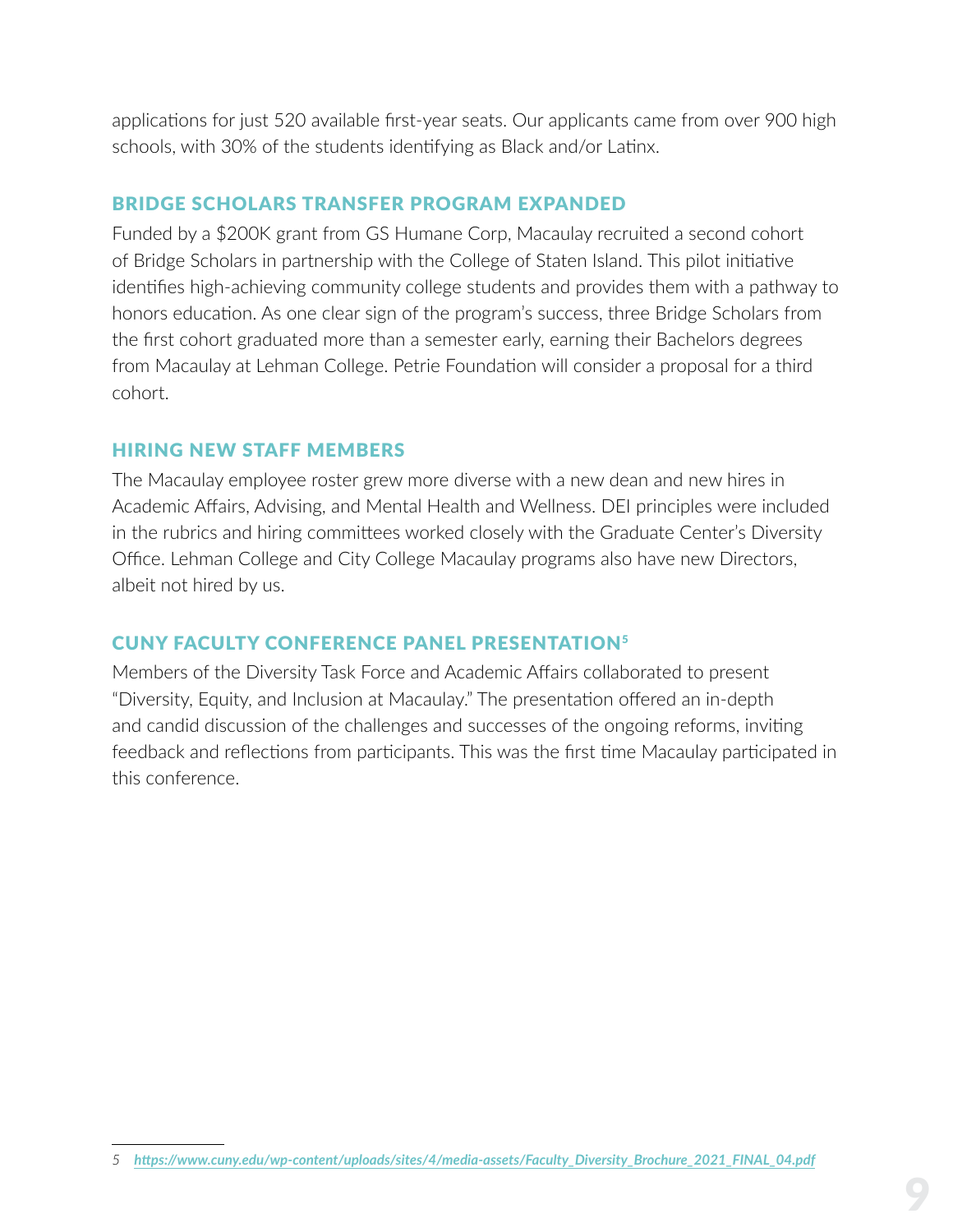<span id="page-9-0"></span>applications for just 520 available first-year seats. Our applicants came from over 900 high schools, with 30% of the students identifying as Black and/or Latinx.

#### BRIDGE SCHOLARS TRANSFER PROGRAM EXPANDED

Funded by a \$200K grant from GS Humane Corp, Macaulay recruited a second cohort of Bridge Scholars in partnership with the College of Staten Island. This pilot initiative identifies high-achieving community college students and provides them with a pathway to honors education. As one clear sign of the program's success, three Bridge Scholars from the first cohort graduated more than a semester early, earning their Bachelors degrees from Macaulay at Lehman College. Petrie Foundation will consider a proposal for a third cohort.

#### HIRING NEW STAFF MEMBERS

The Macaulay employee roster grew more diverse with a new dean and new hires in Academic Affairs, Advising, and Mental Health and Wellness. DEI principles were included in the rubrics and hiring committees worked closely with the Graduate Center's Diversity Office. Lehman College and City College Macaulay programs also have new Directors, albeit not hired by us.

#### CUNY FACULTY CONFERENCE PANEL PRESENTATION5

Members of the Diversity Task Force and Academic Affairs collaborated to present "Diversity, Equity, and Inclusion at Macaulay." The presentation offered an in-depth and candid discussion of the challenges and successes of the ongoing reforms, inviting feedback and reflections from participants. This was the first time Macaulay participated in this conference.

*<sup>5</sup> [https://www.cuny.edu/wp-content/uploads/sites/4/media-assets/Faculty\\_Diversity\\_Brochure\\_2021\\_FINAL\\_04.pdf](https://www.cuny.edu/wp-content/uploads/sites/4/media-assets/Faculty_Diversity_Brochure_2021_FINAL_04.pdf)*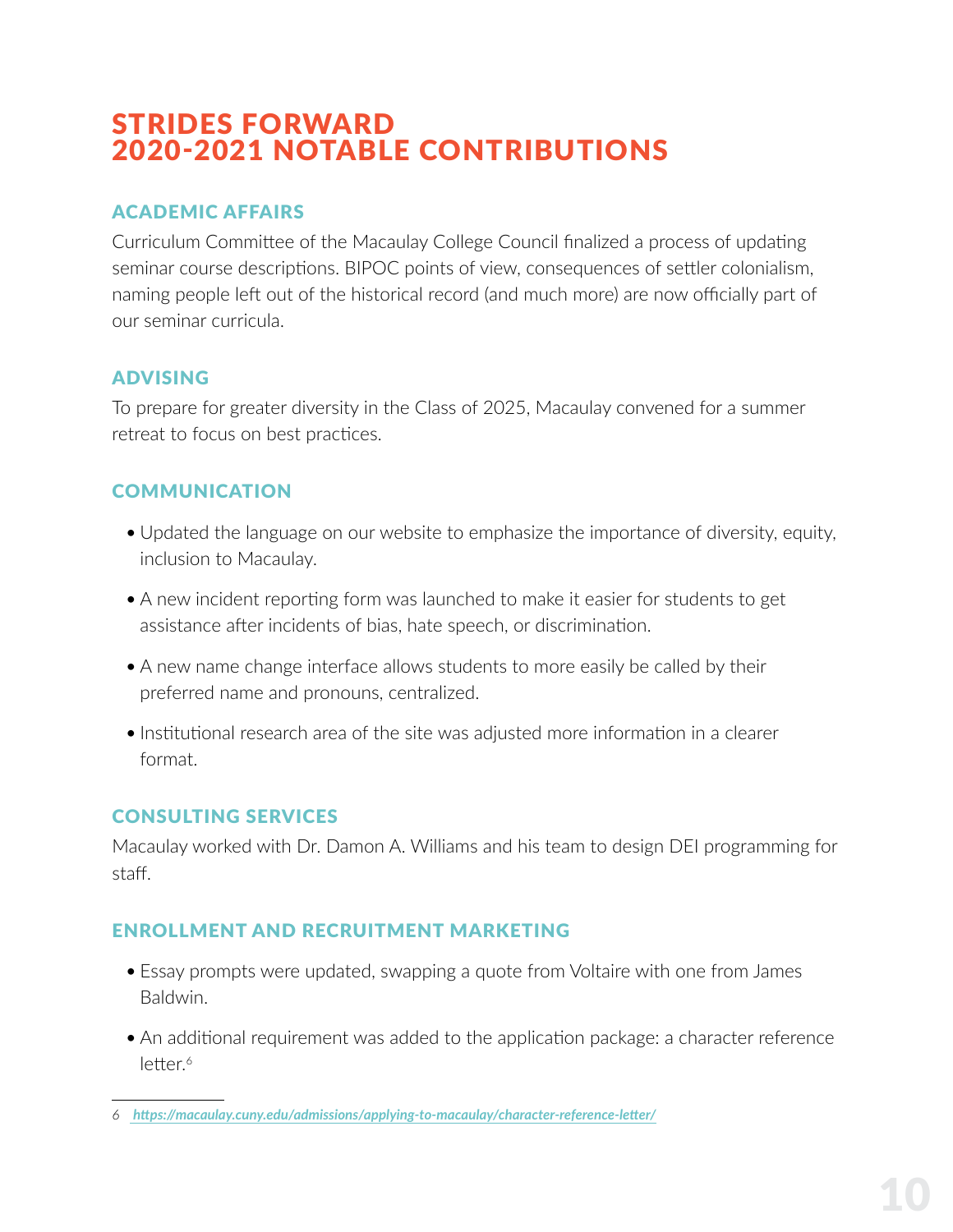### <span id="page-10-0"></span>STRIDES FORWARD 2020-2021 NOTABLE CONTRIBUTIONS

#### ACADEMIC AFFAIRS

Curriculum Committee of the Macaulay College Council finalized a process of updating seminar course descriptions. BIPOC points of view, consequences of settler colonialism, naming people left out of the historical record (and much more) are now officially part of our seminar curricula.

#### ADVISING

To prepare for greater diversity in the Class of 2025, Macaulay convened for a summer retreat to focus on best practices.

#### **COMMUNICATION**

- Updated the language on our website to emphasize the importance of diversity, equity, inclusion to Macaulay.
- A new incident reporting form was launched to make it easier for students to get assistance after incidents of bias, hate speech, or discrimination.
- A new name change interface allows students to more easily be called by their preferred name and pronouns, centralized.
- Institutional research area of the site was adjusted more information in a clearer format.

#### CONSULTING SERVICES

Macaulay worked with Dr. Damon A. Williams and his team to design DEI programming for staff.

#### ENROLLMENT AND RECRUITMENT MARKETING

- Essay prompts were updated, swapping a quote from Voltaire with one from James Baldwin.
- An additional requirement was added to the application package: a character reference letter.<sup>6</sup>

*<sup>6</sup> [https://macaulay.cuny.edu/admissions/applying-to-macaulay/character-reference-letter/]( https://macaulay.cuny.edu/admissions/applying-to-macaulay/character-reference-letter/)*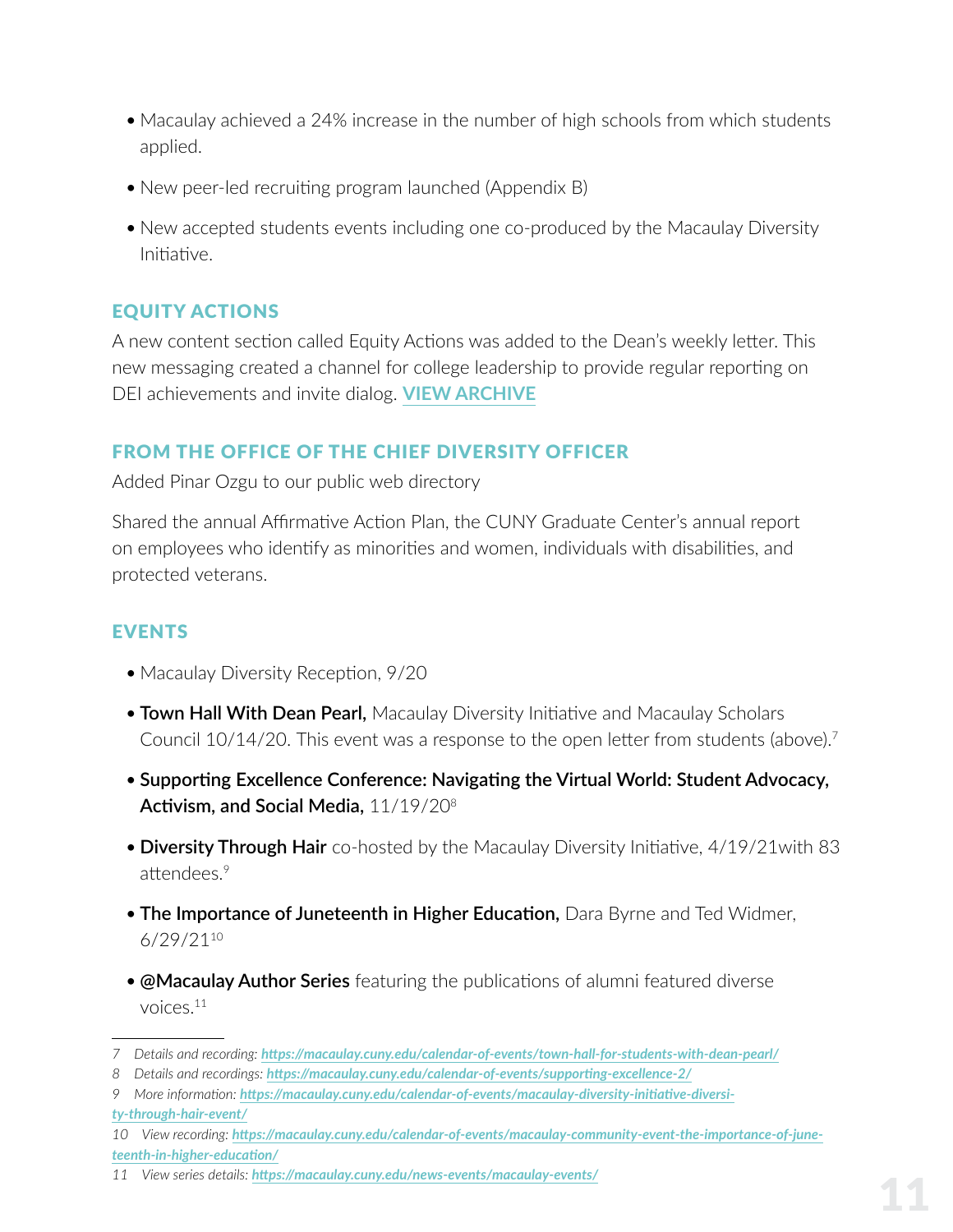- <span id="page-11-0"></span>• Macaulay achieved a 24% increase in the number of high schools from which students applied.
- New peer-led recruiting program launched (Appendix B)
- New accepted students events including one co-produced by the Macaulay Diversity Initiative.

#### EQUITY ACTIONS

A new content section called Equity Actions was added to the Dean's weekly letter. This new messaging created a channel for college leadership to provide regular reporting on DEI achievements and invite dialog. **[VIEW ARCHIVE](https://macaulay.cuny.edu/email-archive/)**

#### FROM THE OFFICE OF THE CHIEF DIVERSITY OFFICER

Added Pinar Ozgu to our public web directory

Shared the annual Affirmative Action Plan, the CUNY Graduate Center's annual report on employees who identify as minorities and women, individuals with disabilities, and protected veterans.

#### EVENTS

- Macaulay Diversity Reception, 9/20
- **Town Hall With Dean Pearl,** Macaulay Diversity Initiative and Macaulay Scholars Council 10/14/20. This event was a response to the open letter from students (above).<sup>7</sup>
- **Supporting Excellence Conference: Navigating the Virtual World: Student Advocacy, Activism, and Social Media,** 11/19/208
- **Diversity Through Hair** co-hosted by the Macaulay Diversity Initiative, 4/19/21with 83 attendees.<sup>9</sup>
- **The Importance of Juneteenth in Higher Education,** Dara Byrne and Ted Widmer, 6/29/21<sup>10</sup>
- **@Macaulay Author Series** featuring the publications of alumni featured diverse voices.<sup>11</sup>

*<sup>7</sup> Details and recording: <https://macaulay.cuny.edu/calendar-of-events/town-hall-for-students-with-dean-pearl/>*

*<sup>8</sup> Details and recordings: <https://macaulay.cuny.edu/calendar-of-events/supporting-excellence-2/>*

*<sup>9</sup> More information: [https://macaulay.cuny.edu/calendar-of-events/macaulay-diversity-initiative-diversi](https://macaulay.cuny.edu/calendar-of-events/macaulay-diversity-initiative-diversity-through-hair-event/)[ty-through-hair-event/](https://macaulay.cuny.edu/calendar-of-events/macaulay-diversity-initiative-diversity-through-hair-event/)*

*<sup>10</sup> View recording: [https://macaulay.cuny.edu/calendar-of-events/macaulay-community-event-the-importance-of-june](https://macaulay.cuny.edu/calendar-of-events/macaulay-community-event-the-importance-of-juneteenth-in-higher-education/)[teenth-in-higher-education/](https://macaulay.cuny.edu/calendar-of-events/macaulay-community-event-the-importance-of-juneteenth-in-higher-education/)*

*<sup>11</sup> View series details: <https://macaulay.cuny.edu/news-events/macaulay-events/>*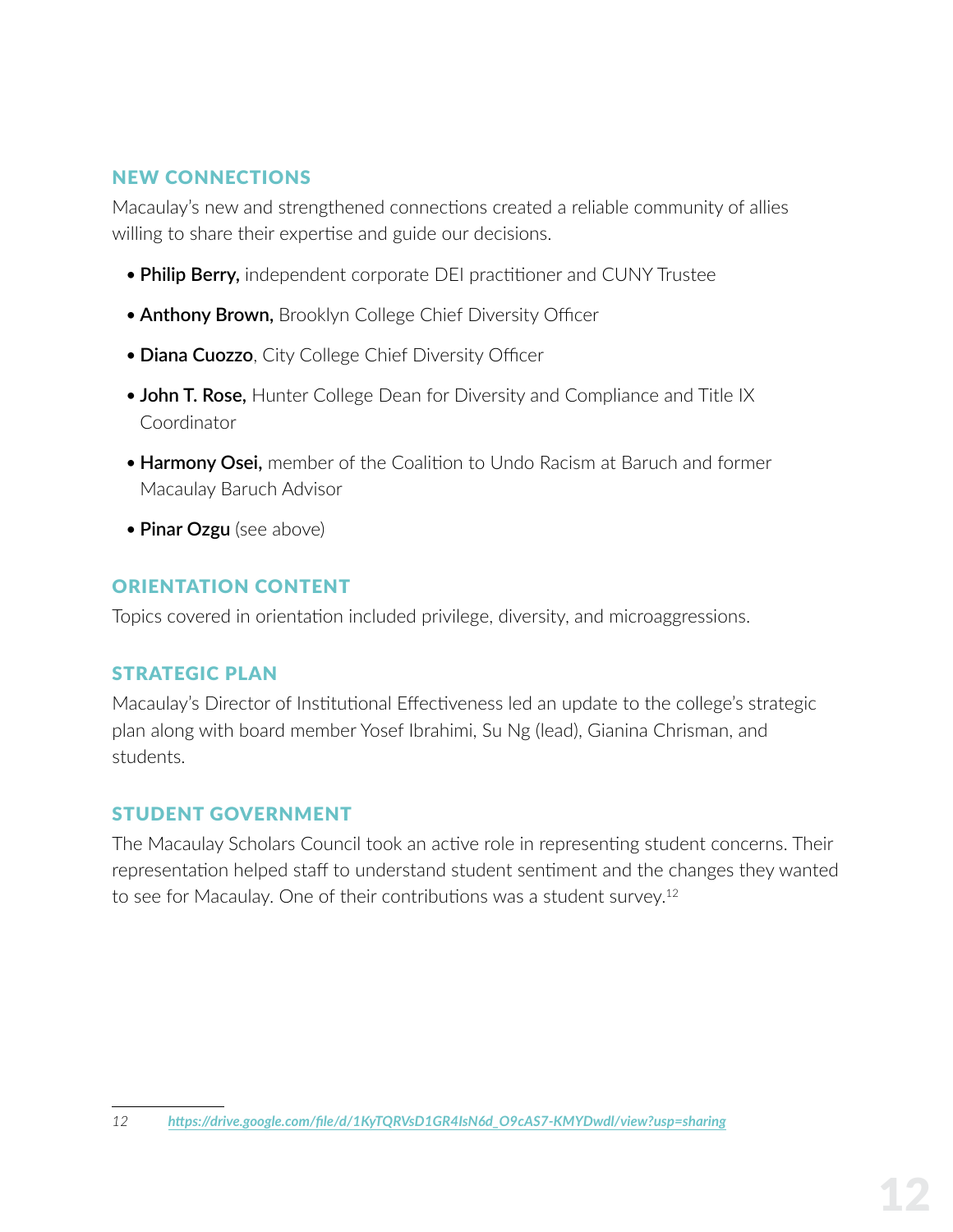#### <span id="page-12-0"></span>NEW CONNECTIONS

Macaulay's new and strengthened connections created a reliable community of allies willing to share their expertise and guide our decisions.

- **Philip Berry,** independent corporate DEI practitioner and CUNY Trustee
- **Anthony Brown,** Brooklyn College Chief Diversity Officer
- **Diana Cuozzo**, City College Chief Diversity Officer
- **John T. Rose,** Hunter College Dean for Diversity and Compliance and Title IX Coordinator
- **Harmony Osei,** member of the Coalition to Undo Racism at Baruch and former Macaulay Baruch Advisor
- **Pinar Ozgu** (see above)

#### ORIENTATION CONTENT

Topics covered in orientation included privilege, diversity, and microaggressions.

#### STRATEGIC PLAN

Macaulay's Director of Institutional Effectiveness led an update to the college's strategic plan along with board member Yosef Ibrahimi, Su Ng (lead), Gianina Chrisman, and students.

#### STUDENT GOVERNMENT

The Macaulay Scholars Council took an active role in representing student concerns. Their representation helped staff to understand student sentiment and the changes they wanted to see for Macaulay. One of their contributions was a student survey.12

*<sup>12</sup> [https://drive.google.com/file/d/1KyTQRVsD1GR4IsN6d\\_O9cAS7-KMYDwdl/view?usp=sharing](https://drive.google.com/file/d/1KyTQRVsD1GR4IsN6d_O9cAS7-KMYDwdl/view?usp=sharing)*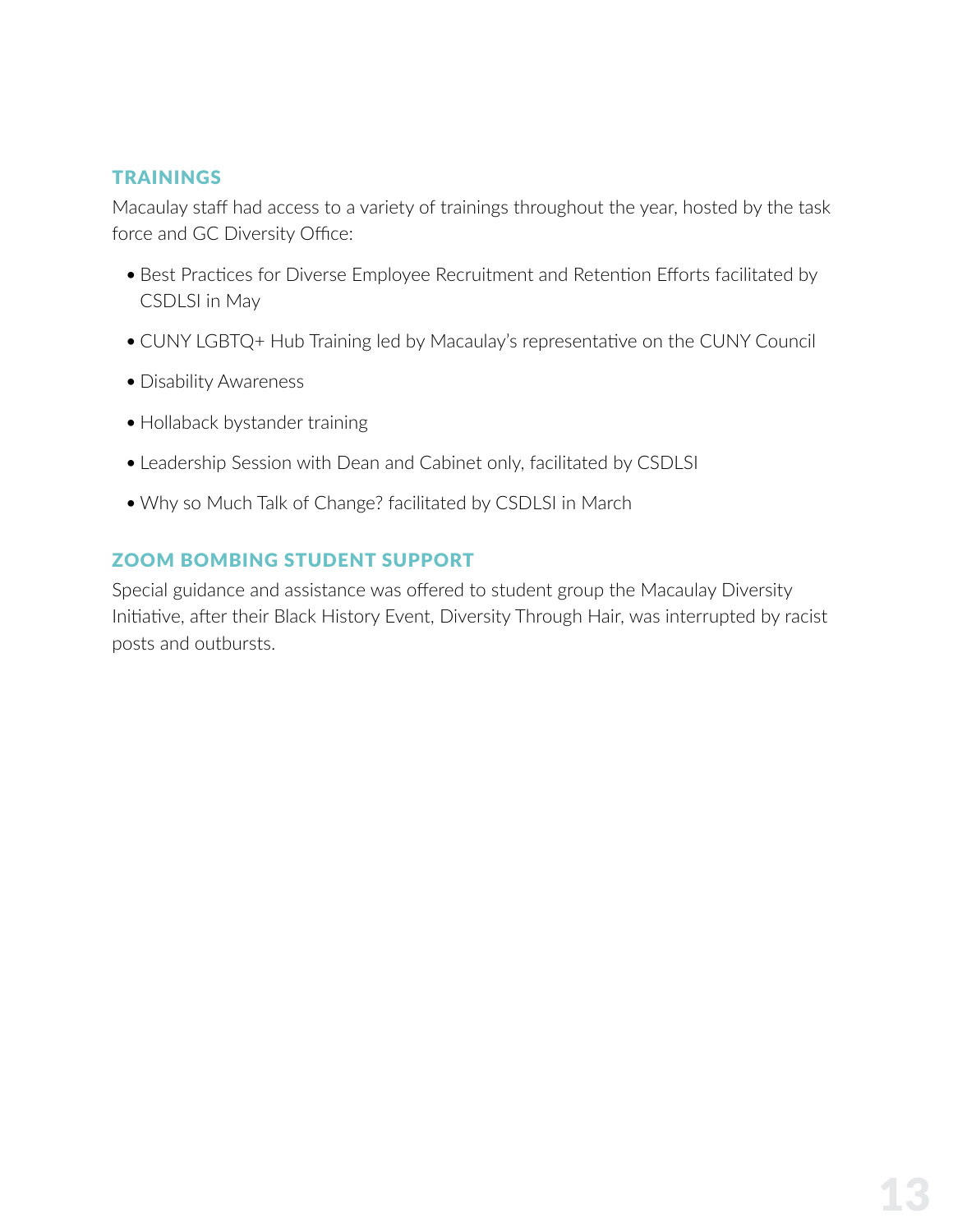#### <span id="page-13-0"></span>TRAININGS

Macaulay staff had access to a variety of trainings throughout the year, hosted by the task force and GC Diversity Office:

- Best Practices for Diverse Employee Recruitment and Retention Efforts facilitated by CSDLSI in May
- CUNY LGBTQ+ Hub Training led by Macaulay's representative on the CUNY Council
- Disability Awareness
- Hollaback bystander training
- Leadership Session with Dean and Cabinet only, facilitated by CSDLSI
- Why so Much Talk of Change? facilitated by CSDLSI in March

#### ZOOM BOMBING STUDENT SUPPORT

Special guidance and assistance was offered to student group the Macaulay Diversity Initiative, after their Black History Event, Diversity Through Hair, was interrupted by racist posts and outbursts.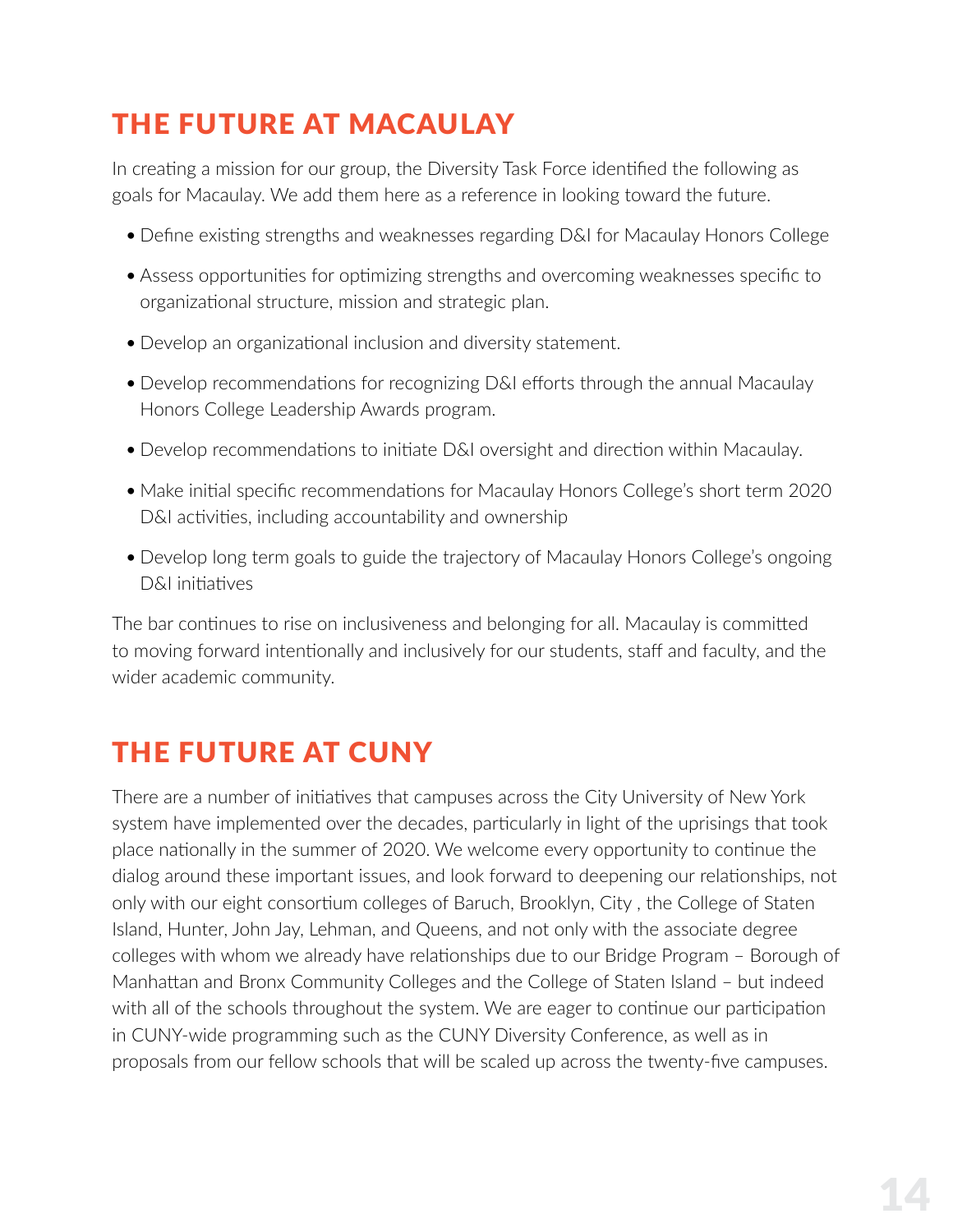### <span id="page-14-0"></span>THE FUTURE AT MACAULAY

In creating a mission for our group, the Diversity Task Force identified the following as goals for Macaulay. We add them here as a reference in looking toward the future.

- Define existing strengths and weaknesses regarding D&I for Macaulay Honors College
- Assess opportunities for optimizing strengths and overcoming weaknesses specific to organizational structure, mission and strategic plan.
- Develop an organizational inclusion and diversity statement.
- Develop recommendations for recognizing D&I efforts through the annual Macaulay Honors College Leadership Awards program.
- Develop recommendations to initiate D&I oversight and direction within Macaulay.
- Make initial specific recommendations for Macaulay Honors College's short term 2020 D&I activities, including accountability and ownership
- Develop long term goals to guide the trajectory of Macaulay Honors College's ongoing D&I initiatives

The bar continues to rise on inclusiveness and belonging for all. Macaulay is committed to moving forward intentionally and inclusively for our students, staff and faculty, and the wider academic community.

### THE FUTURE AT CUNY

There are a number of initiatives that campuses across the City University of New York system have implemented over the decades, particularly in light of the uprisings that took place nationally in the summer of 2020. We welcome every opportunity to continue the dialog around these important issues, and look forward to deepening our relationships, not only with our eight consortium colleges of Baruch, Brooklyn, City , the College of Staten Island, Hunter, John Jay, Lehman, and Queens, and not only with the associate degree colleges with whom we already have relationships due to our Bridge Program – Borough of Manhattan and Bronx Community Colleges and the College of Staten Island – but indeed with all of the schools throughout the system. We are eager to continue our participation in CUNY-wide programming such as the CUNY Diversity Conference, as well as in proposals from our fellow schools that will be scaled up across the twenty-five campuses.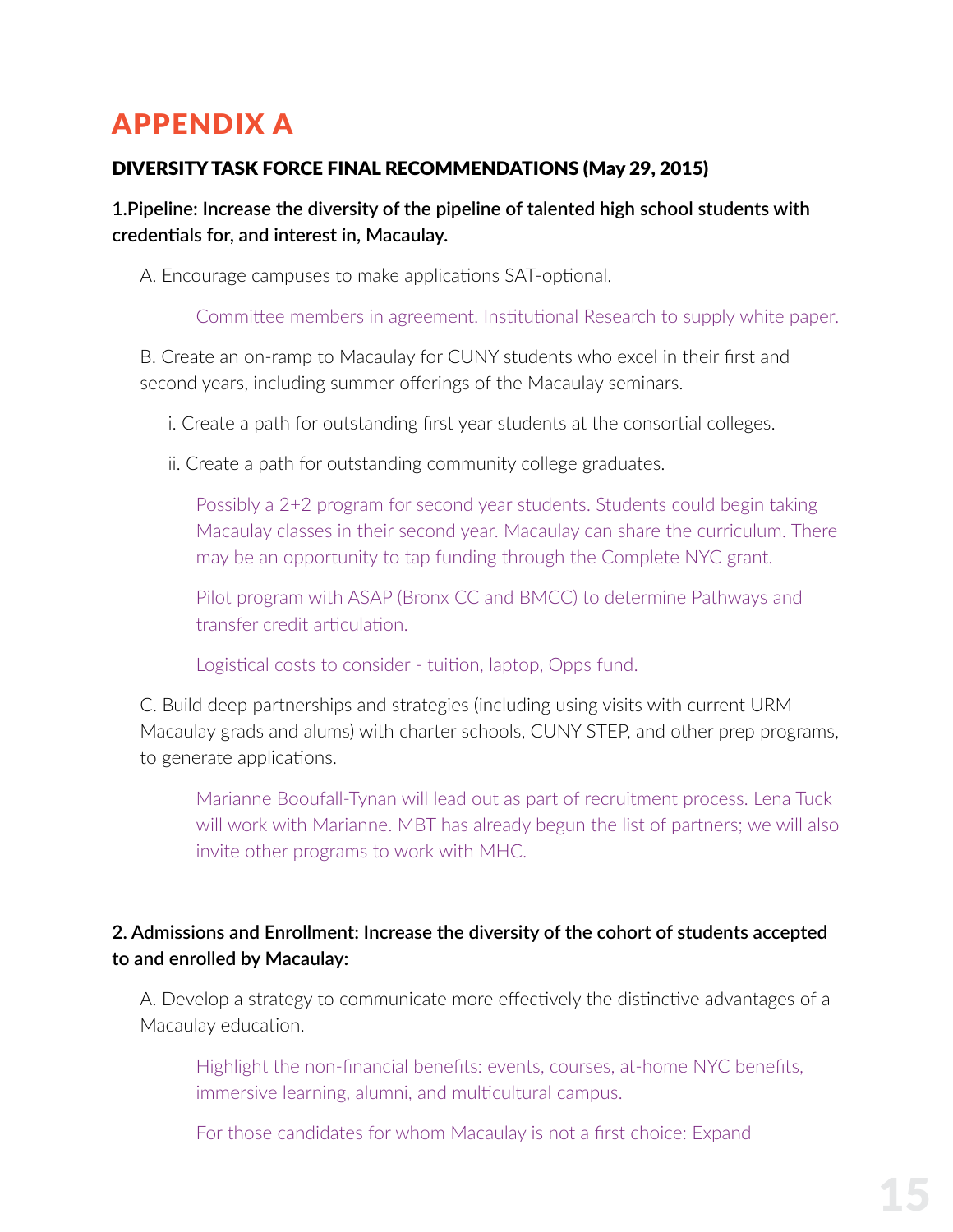### <span id="page-15-0"></span>APPENDIX A

#### DIVERSITY TASK FORCE FINAL RECOMMENDATIONS (May 29, 2015)

**1.Pipeline: Increase the diversity of the pipeline of talented high school students with credentials for, and interest in, Macaulay.**

A. Encourage campuses to make applications SAT-optional.

Committee members in agreement. Institutional Research to supply white paper.

B. Create an on-ramp to Macaulay for CUNY students who excel in their first and second years, including summer offerings of the Macaulay seminars.

i. Create a path for outstanding first year students at the consortial colleges.

ii. Create a path for outstanding community college graduates.

Possibly a 2+2 program for second year students. Students could begin taking Macaulay classes in their second year. Macaulay can share the curriculum. There may be an opportunity to tap funding through the Complete NYC grant.

Pilot program with ASAP (Bronx CC and BMCC) to determine Pathways and transfer credit articulation.

Logistical costs to consider - tuition, laptop, Opps fund.

C. Build deep partnerships and strategies (including using visits with current URM Macaulay grads and alums) with charter schools, CUNY STEP, and other prep programs, to generate applications.

Marianne Booufall-Tynan will lead out as part of recruitment process. Lena Tuck will work with Marianne. MBT has already begun the list of partners; we will also invite other programs to work with MHC.

#### **2. Admissions and Enrollment: Increase the diversity of the cohort of students accepted to and enrolled by Macaulay:**

A. Develop a strategy to communicate more effectively the distinctive advantages of a Macaulay education.

Highlight the non-financial benefits: events, courses, at-home NYC benefits, immersive learning, alumni, and multicultural campus.

For those candidates for whom Macaulay is not a first choice: Expand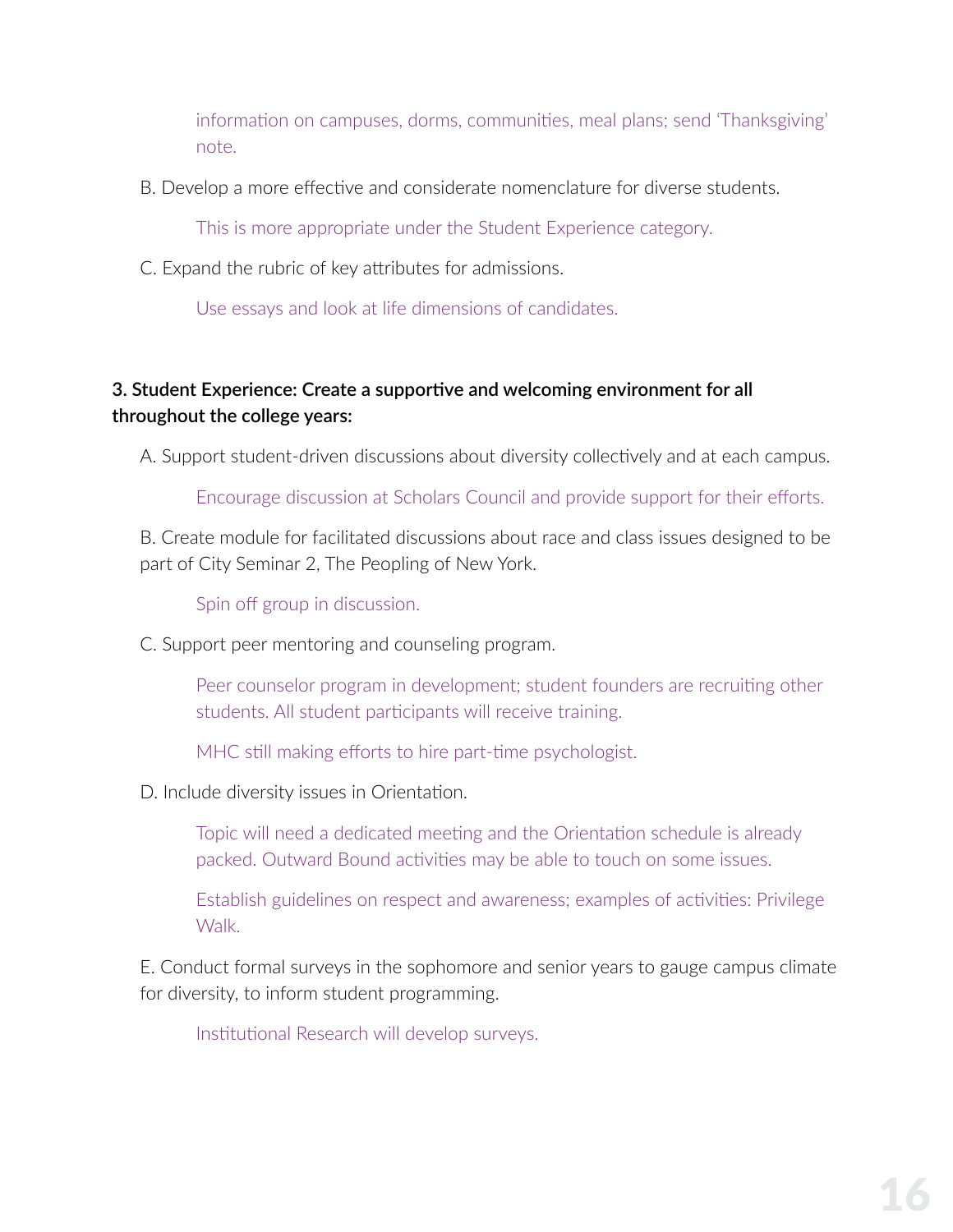information on campuses, dorms, communities, meal plans; send 'Thanksgiving' note.

B. Develop a more effective and considerate nomenclature for diverse students.

This is more appropriate under the Student Experience category.

C. Expand the rubric of key attributes for admissions.

Use essays and look at life dimensions of candidates.

#### **3. Student Experience: Create a supportive and welcoming environment for all throughout the college years:**

A. Support student-driven discussions about diversity collectively and at each campus.

Encourage discussion at Scholars Council and provide support for their efforts.

B. Create module for facilitated discussions about race and class issues designed to be part of City Seminar 2, The Peopling of New York.

Spin off group in discussion.

C. Support peer mentoring and counseling program.

Peer counselor program in development; student founders are recruiting other students. All student participants will receive training.

MHC still making efforts to hire part-time psychologist.

D. Include diversity issues in Orientation.

Topic will need a dedicated meeting and the Orientation schedule is already packed. Outward Bound activities may be able to touch on some issues.

Establish guidelines on respect and awareness; examples of activities: Privilege Walk.

E. Conduct formal surveys in the sophomore and senior years to gauge campus climate for diversity, to inform student programming.

Institutional Research will develop surveys.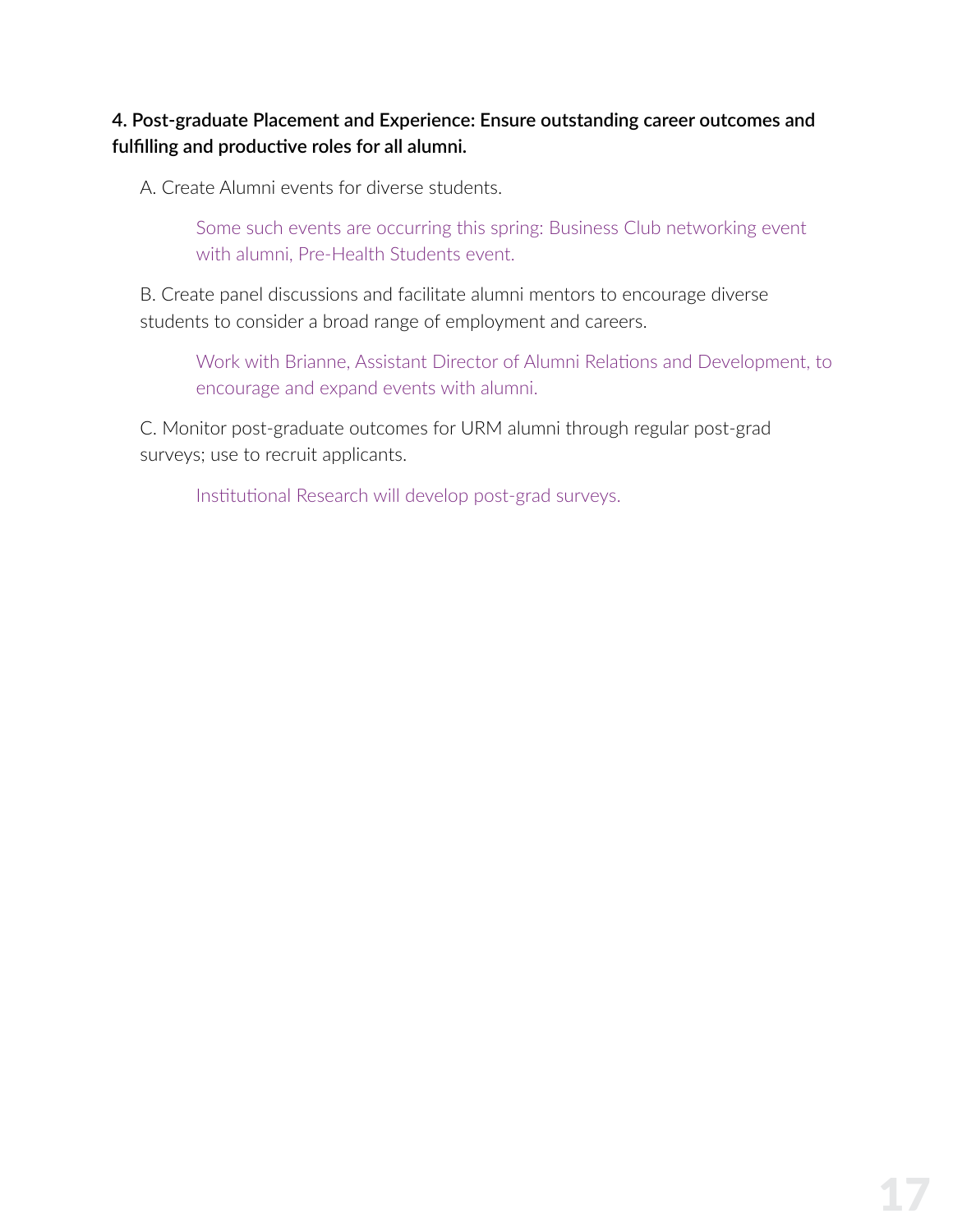#### **4. Post-graduate Placement and Experience: Ensure outstanding career outcomes and fulfilling and productive roles for all alumni.**

A. Create Alumni events for diverse students.

Some such events are occurring this spring: Business Club networking event with alumni, Pre-Health Students event.

B. Create panel discussions and facilitate alumni mentors to encourage diverse students to consider a broad range of employment and careers.

Work with Brianne, Assistant Director of Alumni Relations and Development, to encourage and expand events with alumni.

C. Monitor post-graduate outcomes for URM alumni through regular post-grad surveys; use to recruit applicants.

Institutional Research will develop post-grad surveys.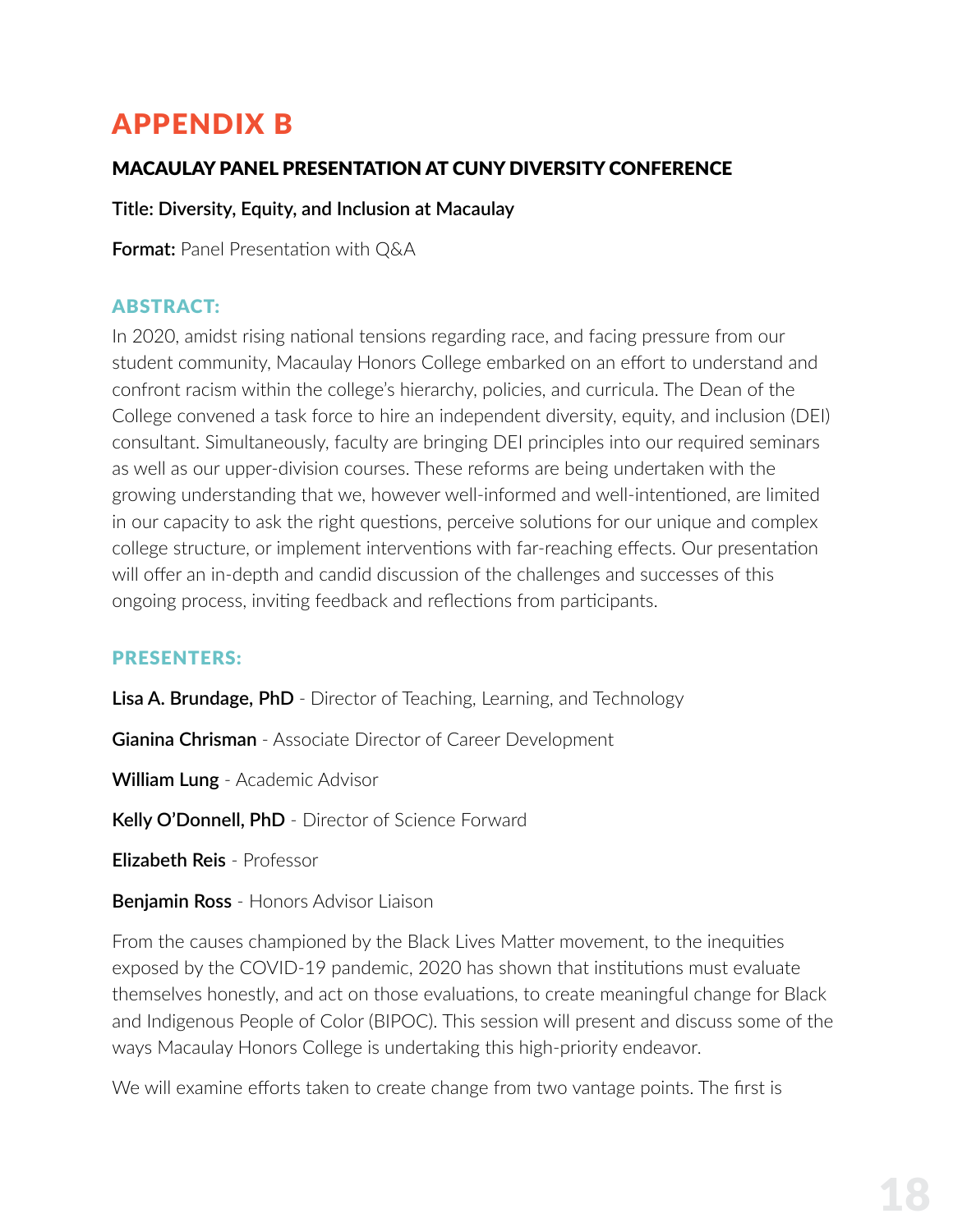### <span id="page-18-0"></span>APPENDIX B

#### MACAULAY PANEL PRESENTATION AT CUNY DIVERSITY CONFERENCE

#### **Title: Diversity, Equity, and Inclusion at Macaulay**

**Format:** Panel Presentation with Q&A

#### ABSTRACT:

In 2020, amidst rising national tensions regarding race, and facing pressure from our student community, Macaulay Honors College embarked on an effort to understand and confront racism within the college's hierarchy, policies, and curricula. The Dean of the College convened a task force to hire an independent diversity, equity, and inclusion (DEI) consultant. Simultaneously, faculty are bringing DEI principles into our required seminars as well as our upper-division courses. These reforms are being undertaken with the growing understanding that we, however well-informed and well-intentioned, are limited in our capacity to ask the right questions, perceive solutions for our unique and complex college structure, or implement interventions with far-reaching effects. Our presentation will offer an in-depth and candid discussion of the challenges and successes of this ongoing process, inviting feedback and reflections from participants.

#### PRESENTERS:

**Lisa A. Brundage, PhD** - Director of Teaching, Learning, and Technology

**Gianina Chrisman** - Associate Director of Career Development

**William Lung** - Academic Advisor

**Kelly O'Donnell, PhD** - Director of Science Forward

**Elizabeth Reis** - Professor

**Benjamin Ross** - Honors Advisor Liaison

From the causes championed by the Black Lives Matter movement, to the inequities exposed by the COVID-19 pandemic, 2020 has shown that institutions must evaluate themselves honestly, and act on those evaluations, to create meaningful change for Black and Indigenous People of Color (BIPOC). This session will present and discuss some of the ways Macaulay Honors College is undertaking this high-priority endeavor.

We will examine efforts taken to create change from two vantage points. The first is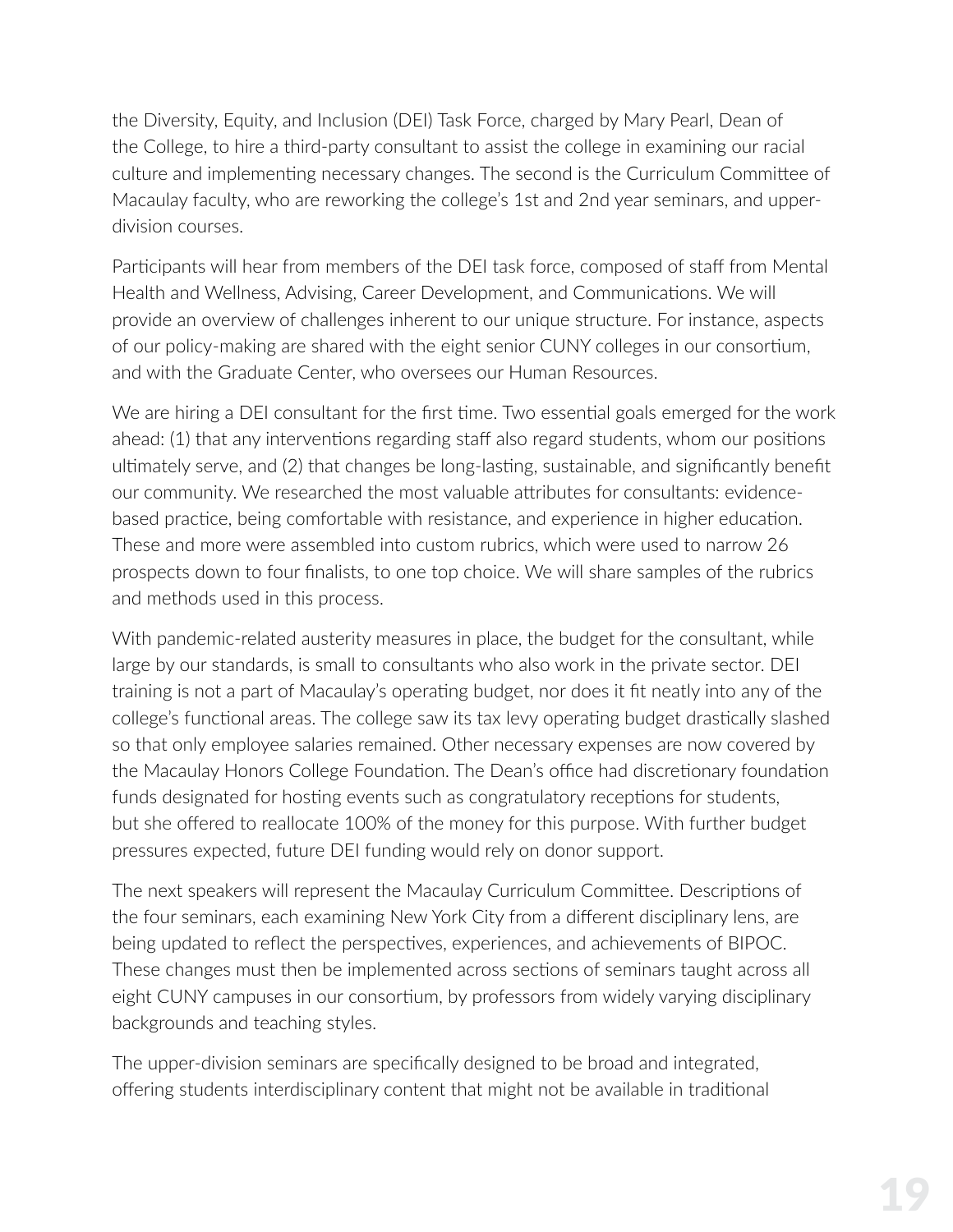the Diversity, Equity, and Inclusion (DEI) Task Force, charged by Mary Pearl, Dean of the College, to hire a third-party consultant to assist the college in examining our racial culture and implementing necessary changes. The second is the Curriculum Committee of Macaulay faculty, who are reworking the college's 1st and 2nd year seminars, and upperdivision courses.

Participants will hear from members of the DEI task force, composed of staff from Mental Health and Wellness, Advising, Career Development, and Communications. We will provide an overview of challenges inherent to our unique structure. For instance, aspects of our policy-making are shared with the eight senior CUNY colleges in our consortium, and with the Graduate Center, who oversees our Human Resources.

We are hiring a DEI consultant for the first time. Two essential goals emerged for the work ahead: (1) that any interventions regarding staff also regard students, whom our positions ultimately serve, and (2) that changes be long-lasting, sustainable, and significantly benefit our community. We researched the most valuable attributes for consultants: evidencebased practice, being comfortable with resistance, and experience in higher education. These and more were assembled into custom rubrics, which were used to narrow 26 prospects down to four finalists, to one top choice. We will share samples of the rubrics and methods used in this process.

With pandemic-related austerity measures in place, the budget for the consultant, while large by our standards, is small to consultants who also work in the private sector. DEI training is not a part of Macaulay's operating budget, nor does it fit neatly into any of the college's functional areas. The college saw its tax levy operating budget drastically slashed so that only employee salaries remained. Other necessary expenses are now covered by the Macaulay Honors College Foundation. The Dean's office had discretionary foundation funds designated for hosting events such as congratulatory receptions for students, but she offered to reallocate 100% of the money for this purpose. With further budget pressures expected, future DEI funding would rely on donor support.

The next speakers will represent the Macaulay Curriculum Committee. Descriptions of the four seminars, each examining New York City from a different disciplinary lens, are being updated to reflect the perspectives, experiences, and achievements of BIPOC. These changes must then be implemented across sections of seminars taught across all eight CUNY campuses in our consortium, by professors from widely varying disciplinary backgrounds and teaching styles.

The upper-division seminars are specifically designed to be broad and integrated, offering students interdisciplinary content that might not be available in traditional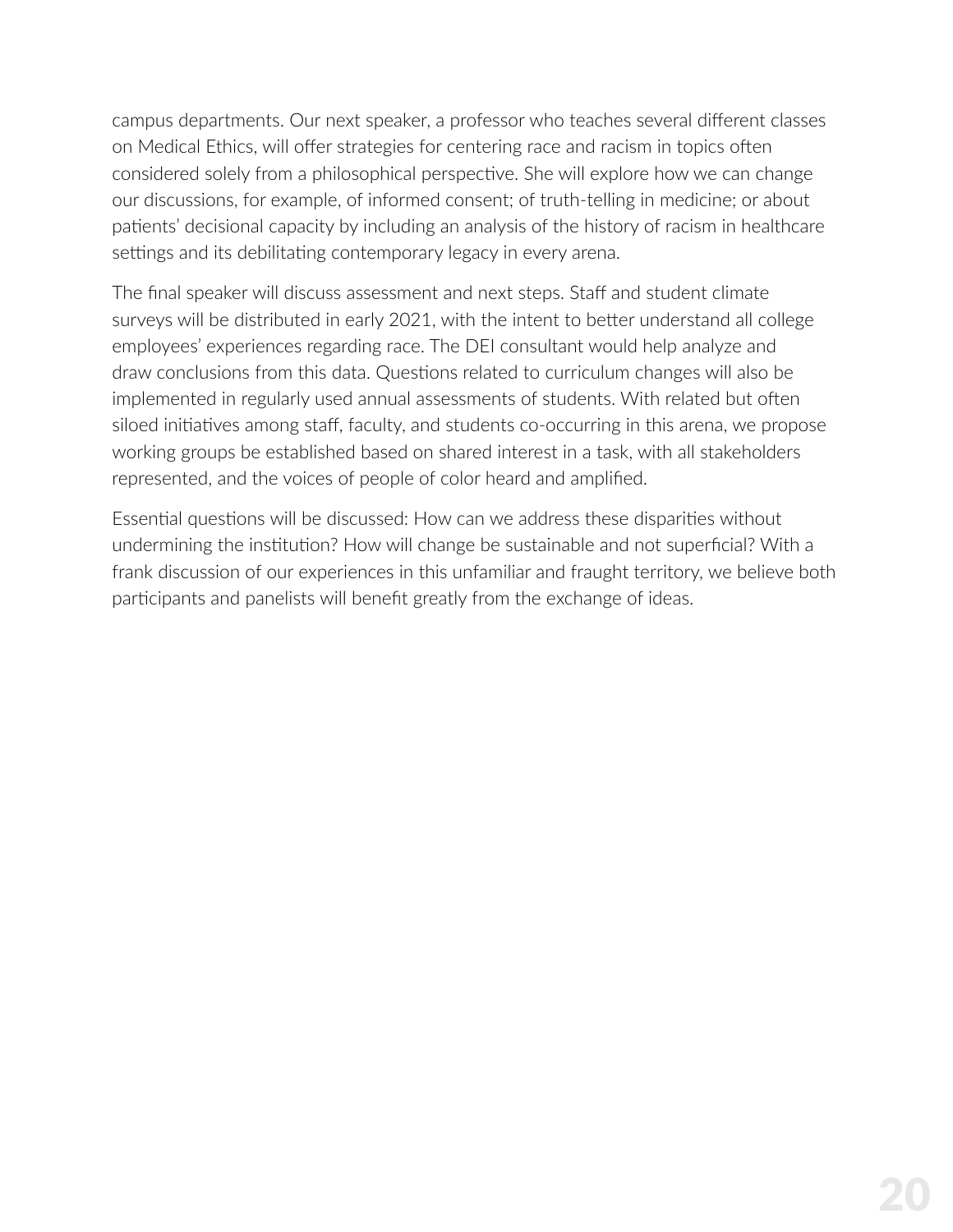campus departments. Our next speaker, a professor who teaches several different classes on Medical Ethics, will offer strategies for centering race and racism in topics often considered solely from a philosophical perspective. She will explore how we can change our discussions, for example, of informed consent; of truth-telling in medicine; or about patients' decisional capacity by including an analysis of the history of racism in healthcare settings and its debilitating contemporary legacy in every arena.

The final speaker will discuss assessment and next steps. Staff and student climate surveys will be distributed in early 2021, with the intent to better understand all college employees' experiences regarding race. The DEI consultant would help analyze and draw conclusions from this data. Questions related to curriculum changes will also be implemented in regularly used annual assessments of students. With related but often siloed initiatives among staff, faculty, and students co-occurring in this arena, we propose working groups be established based on shared interest in a task, with all stakeholders represented, and the voices of people of color heard and amplified.

Essential questions will be discussed: How can we address these disparities without undermining the institution? How will change be sustainable and not superficial? With a frank discussion of our experiences in this unfamiliar and fraught territory, we believe both participants and panelists will benefit greatly from the exchange of ideas.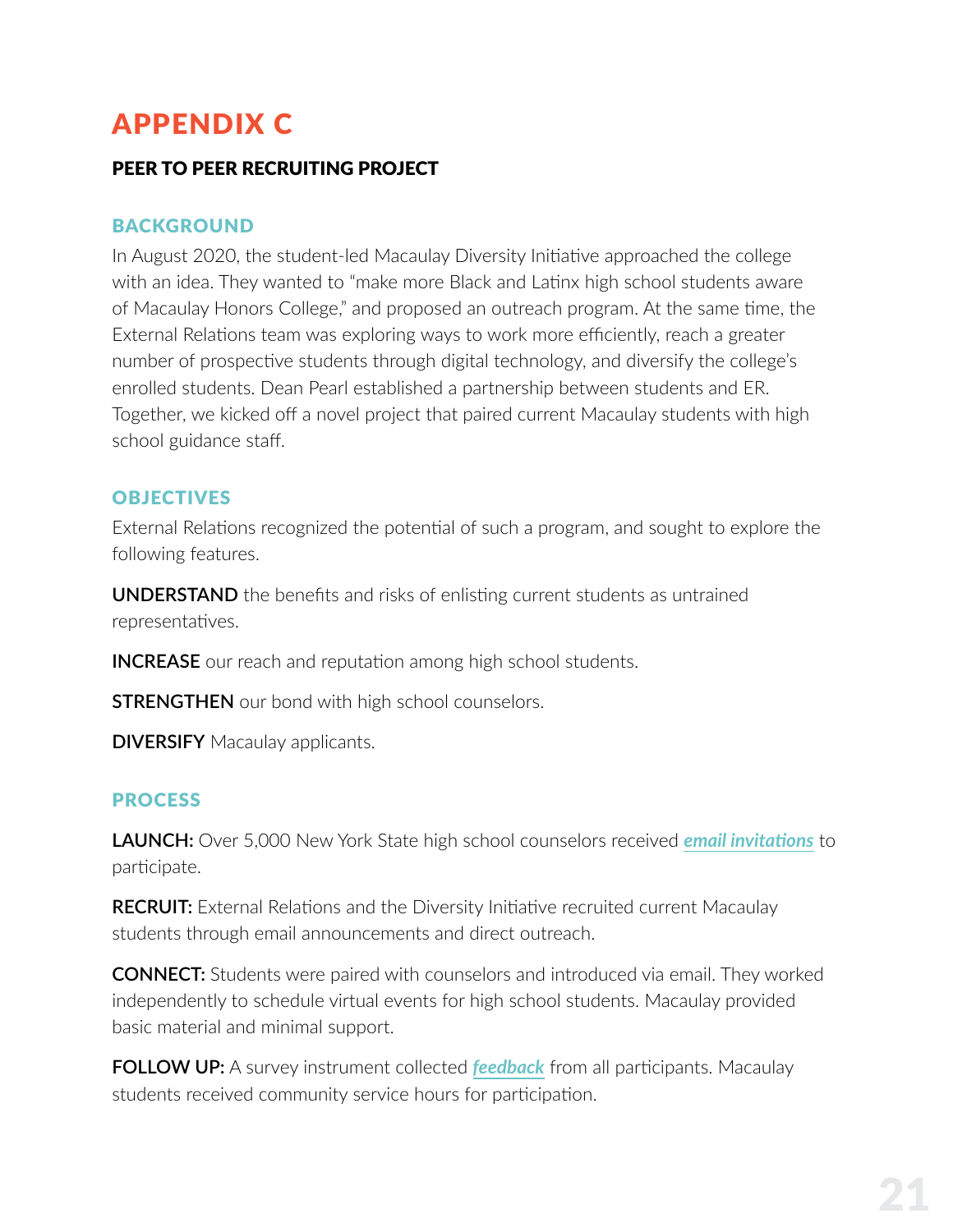### <span id="page-21-0"></span>APPENDIX C

#### PEER TO PEER RECRUITING PROJECT

#### **BACKGROUND**

In August 2020, the student-led Macaulay Diversity Initiative approached the college with an idea. They wanted to "make more Black and Latinx high school students aware of Macaulay Honors College," and proposed an outreach program. At the same time, the External Relations team was exploring ways to work more efficiently, reach a greater number of prospective students through digital technology, and diversify the college's enrolled students. Dean Pearl established a partnership between students and ER. Together, we kicked off a novel project that paired current Macaulay students with high school guidance staff.

#### **OBJECTIVES**

External Relations recognized the potential of such a program, and sought to explore the following features.

**UNDERSTAND** the benefits and risks of enlisting current students as untrained representatives.

**INCREASE** our reach and reputation among high school students.

**STRENGTHEN** our bond with high school counselors.

**DIVERSIFY** Macaulay applicants.

#### **PROCESS**

**LAUNCH:** Over 5,000 New York State high school counselors received *[email invitations](https://mailchi.mp/macaulay.cuny.edu/empowering-bipoc-honors-students)* to participate.

**RECRUIT:** External Relations and the Diversity Initiative recruited current Macaulay students through email announcements and direct outreach.

**CONNECT:** Students were paired with counselors and introduced via email. They worked independently to schedule virtual events for high school students. Macaulay provided basic material and minimal support.

**FOLLOW UP:** A survey instrument collected *[feedback](https://www.surveymonkey.com/stories/SM-39PS9QY2/)* from all participants. Macaulay students received community service hours for participation.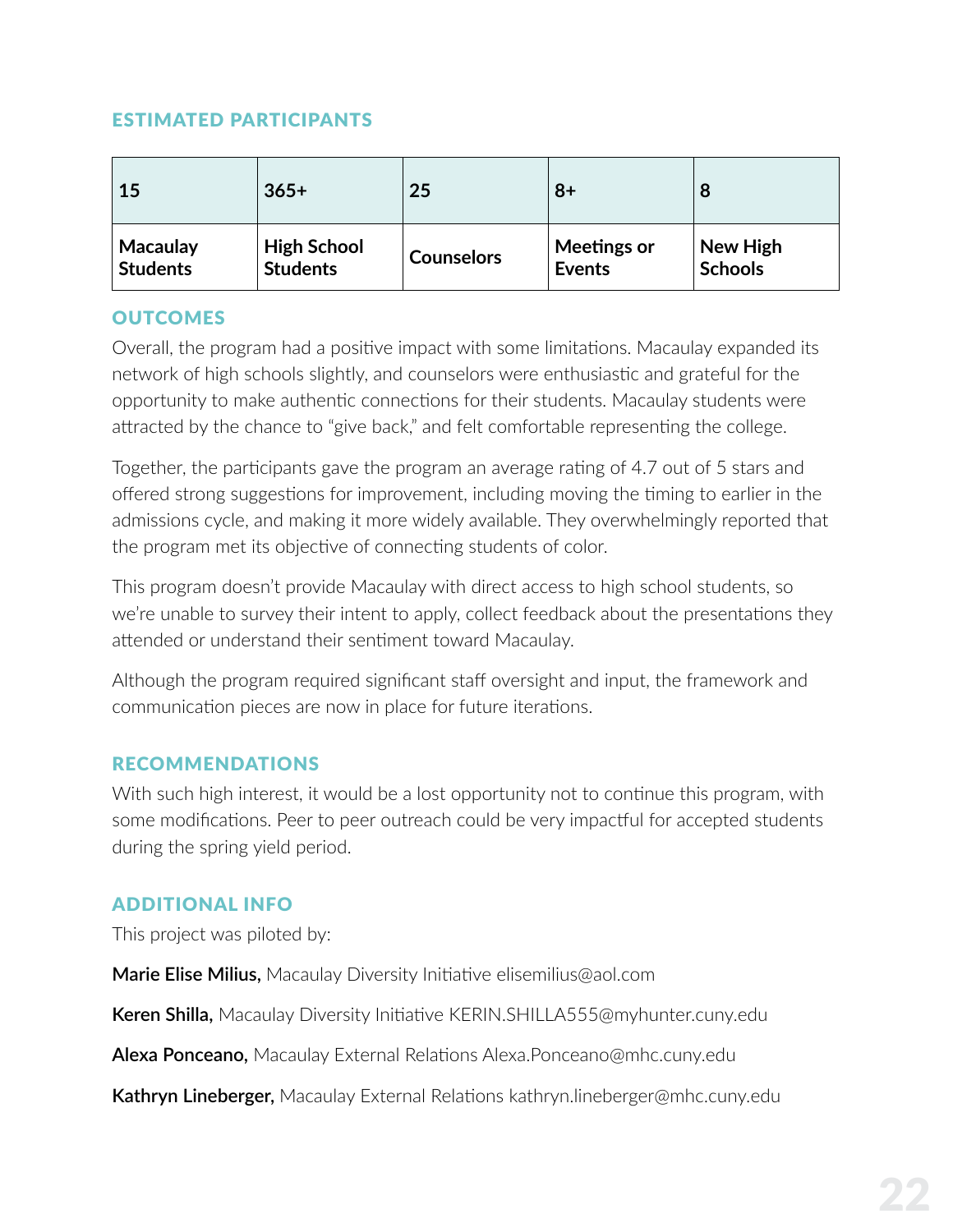#### ESTIMATED PARTICIPANTS

| 15              | $365+$             | 25                | $8+$               | 8              |
|-----------------|--------------------|-------------------|--------------------|----------------|
| <b>Macaulay</b> | <b>High School</b> | <b>Counselors</b> | <b>Meetings or</b> | New High       |
| <b>Students</b> | <b>Students</b>    |                   | <b>Events</b>      | <b>Schools</b> |

#### **OUTCOMES**

Overall, the program had a positive impact with some limitations. Macaulay expanded its network of high schools slightly, and counselors were enthusiastic and grateful for the opportunity to make authentic connections for their students. Macaulay students were attracted by the chance to "give back," and felt comfortable representing the college.

Together, the participants gave the program an average rating of 4.7 out of 5 stars and offered strong suggestions for improvement, including moving the timing to earlier in the admissions cycle, and making it more widely available. They overwhelmingly reported that the program met its objective of connecting students of color.

This program doesn't provide Macaulay with direct access to high school students, so we're unable to survey their intent to apply, collect feedback about the presentations they attended or understand their sentiment toward Macaulay.

Although the program required significant staff oversight and input, the framework and communication pieces are now in place for future iterations.

#### RECOMMENDATIONS

With such high interest, it would be a lost opportunity not to continue this program, with some modifications. Peer to peer outreach could be very impactful for accepted students during the spring yield period.

#### ADDITIONAL INFO

This project was piloted by:

**Marie Elise Milius,** Macaulay Diversity Initiative elisemilius@aol.com

**Keren Shilla,** Macaulay Diversity Initiative KERIN.SHILLA555@myhunter.cuny.edu

**Alexa Ponceano,** Macaulay External Relations Alexa.Ponceano@mhc.cuny.edu

**Kathryn Lineberger,** Macaulay External Relations kathryn.lineberger@mhc.cuny.edu